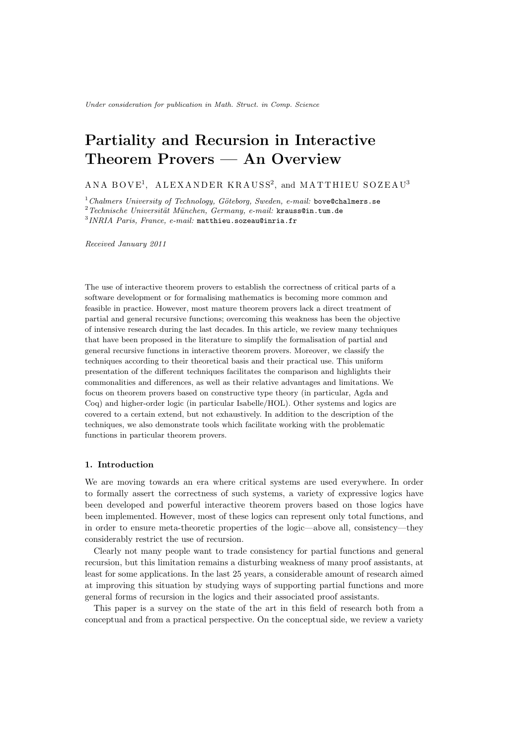# Partiality and Recursion in Interactive Theorem Provers — An Overview

ANA BOVE<sup>1</sup>, ALEXANDER KRAUSS<sup>2</sup>, and MATTHIEU SOZEAU<sup>3</sup>

 $1$ Chalmers University of Technology, Göteborg, Sweden, e-mail: bove@chalmers.se

 $2 Technische Universität München, Germany, e-mail: krauss@in.tum.de$ 

 $3$ INRIA Paris, France, e-mail: matthieu.sozeau@inria.fr

Received January 2011

The use of interactive theorem provers to establish the correctness of critical parts of a software development or for formalising mathematics is becoming more common and feasible in practice. However, most mature theorem provers lack a direct treatment of partial and general recursive functions; overcoming this weakness has been the objective of intensive research during the last decades. In this article, we review many techniques that have been proposed in the literature to simplify the formalisation of partial and general recursive functions in interactive theorem provers. Moreover, we classify the techniques according to their theoretical basis and their practical use. This uniform presentation of the different techniques facilitates the comparison and highlights their commonalities and differences, as well as their relative advantages and limitations. We focus on theorem provers based on constructive type theory (in particular, Agda and Coq) and higher-order logic (in particular Isabelle/HOL). Other systems and logics are covered to a certain extend, but not exhaustively. In addition to the description of the techniques, we also demonstrate tools which facilitate working with the problematic functions in particular theorem provers.

## 1. Introduction

We are moving towards an era where critical systems are used everywhere. In order to formally assert the correctness of such systems, a variety of expressive logics have been developed and powerful interactive theorem provers based on those logics have been implemented. However, most of these logics can represent only total functions, and in order to ensure meta-theoretic properties of the logic—above all, consistency—they considerably restrict the use of recursion.

Clearly not many people want to trade consistency for partial functions and general recursion, but this limitation remains a disturbing weakness of many proof assistants, at least for some applications. In the last 25 years, a considerable amount of research aimed at improving this situation by studying ways of supporting partial functions and more general forms of recursion in the logics and their associated proof assistants.

This paper is a survey on the state of the art in this field of research both from a conceptual and from a practical perspective. On the conceptual side, we review a variety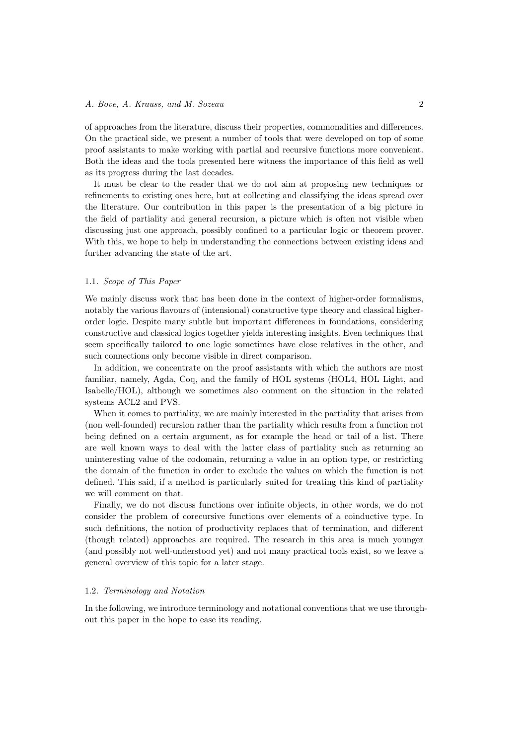of approaches from the literature, discuss their properties, commonalities and differences. On the practical side, we present a number of tools that were developed on top of some proof assistants to make working with partial and recursive functions more convenient. Both the ideas and the tools presented here witness the importance of this field as well as its progress during the last decades.

It must be clear to the reader that we do not aim at proposing new techniques or refinements to existing ones here, but at collecting and classifying the ideas spread over the literature. Our contribution in this paper is the presentation of a big picture in the field of partiality and general recursion, a picture which is often not visible when discussing just one approach, possibly confined to a particular logic or theorem prover. With this, we hope to help in understanding the connections between existing ideas and further advancing the state of the art.

# 1.1. Scope of This Paper

We mainly discuss work that has been done in the context of higher-order formalisms, notably the various flavours of (intensional) constructive type theory and classical higherorder logic. Despite many subtle but important differences in foundations, considering constructive and classical logics together yields interesting insights. Even techniques that seem specifically tailored to one logic sometimes have close relatives in the other, and such connections only become visible in direct comparison.

In addition, we concentrate on the proof assistants with which the authors are most familiar, namely, Agda, Coq, and the family of HOL systems (HOL4, HOL Light, and Isabelle/HOL), although we sometimes also comment on the situation in the related systems ACL2 and PVS.

When it comes to partiality, we are mainly interested in the partiality that arises from (non well-founded) recursion rather than the partiality which results from a function not being defined on a certain argument, as for example the head or tail of a list. There are well known ways to deal with the latter class of partiality such as returning an uninteresting value of the codomain, returning a value in an option type, or restricting the domain of the function in order to exclude the values on which the function is not defined. This said, if a method is particularly suited for treating this kind of partiality we will comment on that.

Finally, we do not discuss functions over infinite objects, in other words, we do not consider the problem of corecursive functions over elements of a coinductive type. In such definitions, the notion of productivity replaces that of termination, and different (though related) approaches are required. The research in this area is much younger (and possibly not well-understood yet) and not many practical tools exist, so we leave a general overview of this topic for a later stage.

#### 1.2. Terminology and Notation

In the following, we introduce terminology and notational conventions that we use throughout this paper in the hope to ease its reading.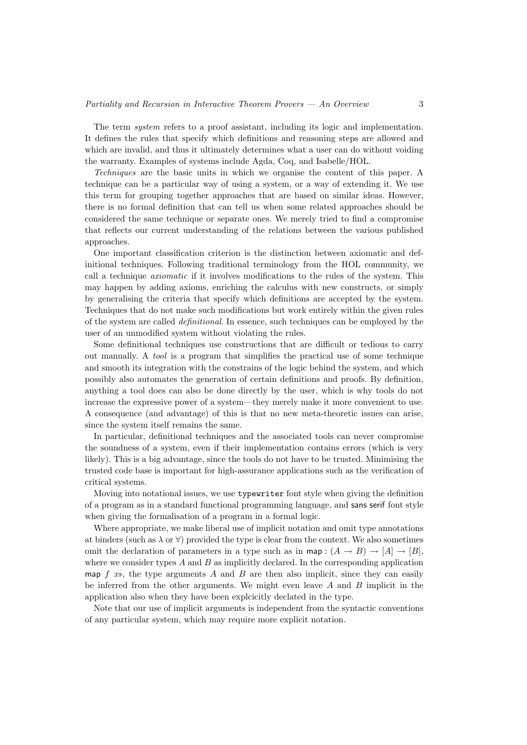The term *system* refers to a proof assistant, including its logic and implementation. It defines the rules that specify which definitions and reasoning steps are allowed and which are invalid, and thus it ultimately determines what a user can do without voiding the warranty. Examples of systems include Agda, Coq, and Isabelle/HOL.

Techniques are the basic units in which we organise the content of this paper. A technique can be a particular way of using a system, or a way of extending it. We use this term for grouping together approaches that are based on similar ideas. However, there is no formal definition that can tell us when some related approaches should be considered the same technique or separate ones. We merely tried to find a compromise that reflects our current understanding of the relations between the various published approaches.

One important classification criterion is the distinction between axiomatic and definitional techniques. Following traditional terminology from the HOL community, we call a technique axiomatic if it involves modifications to the rules of the system. This may happen by adding axioms, enriching the calculus with new constructs, or simply by generalising the criteria that specify which definitions are accepted by the system. Techniques that do not make such modifications but work entirely within the given rules of the system are called definitional. In essence, such techniques can be employed by the user of an unmodified system without violating the rules.

Some definitional techniques use constructions that are difficult or tedious to carry out manually. A tool is a program that simplifies the practical use of some technique and smooth its integration with the constrains of the logic behind the system, and which possibly also automates the generation of certain definitions and proofs. By definition, anything a tool does can also be done directly by the user, which is why tools do not increase the expressive power of a system—they merely make it more convenient to use. A consequence (and advantage) of this is that no new meta-theoretic issues can arise, since the system itself remains the same.

In particular, definitional techniques and the associated tools can never compromise the soundness of a system, even if their implementation contains errors (which is very likely). This is a big advantage, since the tools do not have to be trusted. Minimising the trusted code base is important for high-assurance applications such as the verification of critical systems.

Moving into notational issues, we use typewriter font style when giving the definition of a program as in a standard functional programming language, and sans serif font style when giving the formalisation of a program in a formal logic.

Where appropriate, we make liberal use of implicit notation and omit type annotations at binders (such as  $\lambda$  or  $\forall$ ) provided the type is clear from the context. We also sometimes omit the declaration of parameters in a type such as in map :  $(A \rightarrow B) \rightarrow [A] \rightarrow [B]$ , where we consider types  $A$  and  $B$  as implicitly declared. In the corresponding application map f  $xs$ , the type arguments A and B are then also implicit, since they can easily be inferred from the other arguments. We might even leave  $A$  and  $B$  implicit in the application also when they have been explcicitly declated in the type.

Note that our use of implicit arguments is independent from the syntactic conventions of any particular system, which may require more explicit notation.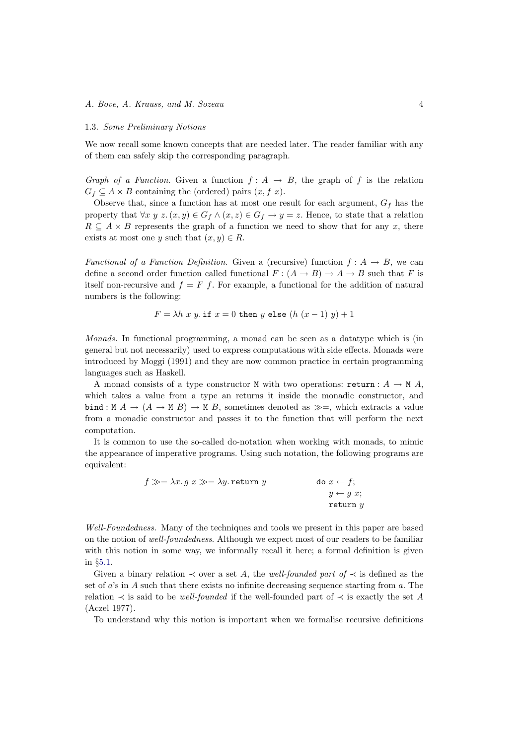#### 1.3. Some Preliminary Notions

We now recall some known concepts that are needed later. The reader familiar with any of them can safely skip the corresponding paragraph.

Graph of a Function. Given a function  $f: A \rightarrow B$ , the graph of f is the relation  $G_f \subseteq A \times B$  containing the (ordered) pairs  $(x, f, x)$ .

Observe that, since a function has at most one result for each argument,  $G_f$  has the property that  $\forall x \ y \ z. (x, y) \in G_f \land (x, z) \in G_f \rightarrow y = z$ . Hence, to state that a relation  $R \subseteq A \times B$  represents the graph of a function we need to show that for any x, there exists at most one y such that  $(x, y) \in R$ .

Functional of a Function Definition. Given a (recursive) function  $f: A \rightarrow B$ , we can define a second order function called functional  $F : (A \rightarrow B) \rightarrow A \rightarrow B$  such that F is itself non-recursive and  $f = F f$ . For example, a functional for the addition of natural numbers is the following:

$$
F = \lambda h \; x \; y. \; \text{if} \; x = 0 \; \text{then} \; y \; \text{else} \; (h \; (x-1) \; y) + 1
$$

Monads. In functional programming, a monad can be seen as a datatype which is (in general but not necessarily) used to express computations with side effects. Monads were introduced by Moggi (1991) and they are now common practice in certain programming languages such as Haskell.

A monad consists of a type constructor M with two operations: return :  $A \rightarrow M A$ , which takes a value from a type an returns it inside the monadic constructor, and bind : M  $A \to (A \to M B) \to M B$ , sometimes denoted as  $\gg =$ , which extracts a value from a monadic constructor and passes it to the function that will perform the next computation.

It is common to use the so-called do-notation when working with monads, to mimic the appearance of imperative programs. Using such notation, the following programs are equivalent:

$$
f \gg = \lambda x. \, g \, x \gg = \lambda y. \, \text{return } y \qquad \qquad \text{do } x \leftarrow f; \\
y \leftarrow g \, x; \\
\text{return } y
$$

Well-Foundedness. Many of the techniques and tools we present in this paper are based on the notion of well-foundedness. Although we expect most of our readers to be familiar with this notion in some way, we informally recall it here; a formal definition is given in §[5.1.](#page-17-0)

Given a binary relation  $\prec$  over a set A, the well-founded part of  $\prec$  is defined as the set of a's in A such that there exists no infinite decreasing sequence starting from a. The relation  $\prec$  is said to be *well-founded* if the well-founded part of  $\prec$  is exactly the set A (Aczel 1977).

To understand why this notion is important when we formalise recursive definitions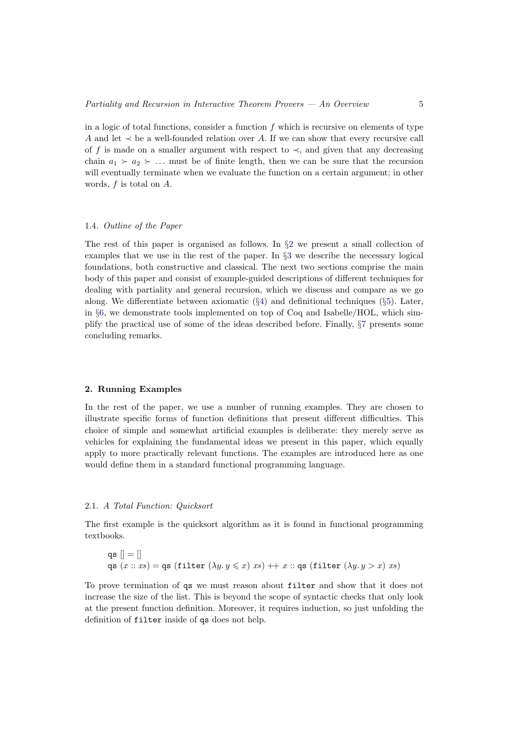in a logic of total functions, consider a function  $f$  which is recursive on elements of type A and let  $\prec$  be a well-founded relation over A. If we can show that every recursive call of f is made on a smaller argument with respect to  $\prec$ , and given that any decreasing chain  $a_1 \succ a_2 \succ \ldots$  must be of finite length, then we can be sure that the recursion will eventually terminate when we evaluate the function on a certain argument; in other words, f is total on A.

# 1.4. Outline of the Paper

The rest of this paper is organised as follows. In §[2](#page-4-0) we present a small collection of examples that we use in the rest of the paper. In §[3](#page-6-0) we describe the necessary logical foundations, both constructive and classical. The next two sections comprise the main body of this paper and consist of example-guided descriptions of different techniques for dealing with partiality and general recursion, which we discuss and compare as we go along. We differentiate between axiomatic  $(\S 4)$  $(\S 4)$  and definitional techniques  $(\S 5)$  $(\S 5)$ . Later, in §[6,](#page-34-0) we demonstrate tools implemented on top of Coq and Isabelle/HOL, which simplify the practical use of some of the ideas described before. Finally, §[7](#page-38-0) presents some concluding remarks.

#### <span id="page-4-0"></span>2. Running Examples

In the rest of the paper, we use a number of running examples. They are chosen to illustrate specific forms of function definitions that present different difficulties. This choice of simple and somewhat artificial examples is deliberate: they merely serve as vehicles for explaining the fundamental ideas we present in this paper, which equally apply to more practically relevant functions. The examples are introduced here as one would define them in a standard functional programming language.

#### 2.1. A Total Function: Quicksort

The first example is the quicksort algorithm as it is found in functional programming textbooks.

$$
\begin{aligned}\n\mathbf{qs} \n\begin{bmatrix}\n\end{bmatrix} &= \n\begin{bmatrix}\n\end{bmatrix} \\
\mathbf{qs} \n(x::xs) &= \mathbf{qs} \n\begin{bmatrix}\n\text{filter} \ (\lambda y. y \leq x) \ xs\n\end{bmatrix} + x:: \mathbf{qs} \n\begin{bmatrix}\n\text{filter} \ (\lambda y. y > x) \ xs\n\end{bmatrix}\n\end{aligned}
$$

To prove termination of qs we must reason about filter and show that it does not increase the size of the list. This is beyond the scope of syntactic checks that only look at the present function definition. Moreover, it requires induction, so just unfolding the definition of filter inside of qs does not help.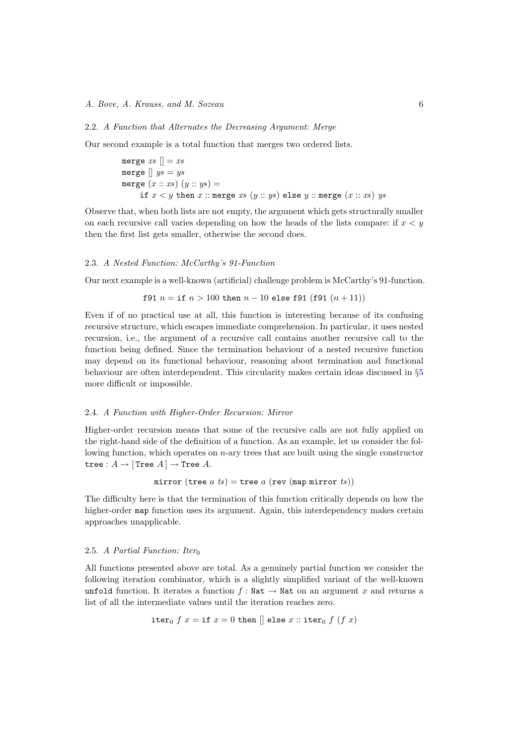#### <span id="page-5-0"></span>2.2. A Function that Alternates the Decreasing Argument: Merge

Our second example is a total function that merges two ordered lists.

merge  $xs$   $|| = xs$ merge  $\parallel$   $ys = ys$ merge  $(x:: xs)$   $(y:: ys) =$ if  $x < y$  then x :: merge xs  $(y :: ys)$  else y :: merge  $(x :: xs)$  ys

Observe that, when both lists are not empty, the argument which gets structurally smaller on each recursive call varies depending on how the heads of the lists compare: if  $x < y$ then the first list gets smaller, otherwise the second does.

### 2.3. A Nested Function: McCarthy's 91-Function

Our next example is a well-known (artificial) challenge problem is McCarthy's 91-function.

f91  $n =$  if  $n > 100$  then  $n - 10$  else f91 (f91  $(n + 11)$ )

Even if of no practical use at all, this function is interesting because of its confusing recursive structure, which escapes immediate comprehension. In particular, it uses nested recursion, i.e., the argument of a recursive call contains another recursive call to the function being defined. Since the termination behaviour of a nested recursive function may depend on its functional behaviour, reasoning about termination and functional behaviour are often interdependent. This circularity makes certain ideas discussed in §[5](#page-17-1) more difficult or impossible.

# <span id="page-5-1"></span>2.4. A Function with Higher-Order Recursion: Mirror

Higher-order recursion means that some of the recursive calls are not fully applied on the right-hand side of the definition of a function. As an example, let us consider the following function, which operates on  $n$ -ary trees that are built using the single constructor tree :  $A \rightarrow$  [Tree  $A$ ]  $\rightarrow$  Tree  $A$ .

```
mirror (tree a ts) = tree a (rev (map mirror ts))
```
The difficulty here is that the termination of this function critically depends on how the higher-order map function uses its argument. Again, this interdependency makes certain approaches unapplicable.

## 2.5. A Partial Function: Iter $_0$

All functions presented above are total. As a genuinely partial function we consider the following iteration combinator, which is a slightly simplified variant of the well-known unfold function. It iterates a function  $f : Nat \rightarrow Nat$  on an argument x and returns a list of all the intermediate values until the iteration reaches zero.

$$
\mathtt{iter}_0 \; f \; x = \mathtt{if} \; x = 0 \; \mathtt{then} \; [] \; \mathtt{else} \; x :: \mathtt{iter}_0 \; f \; (f \; x)
$$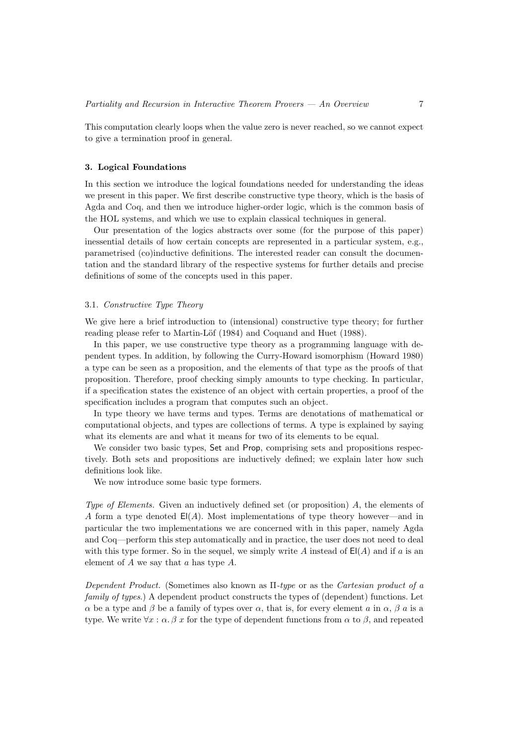This computation clearly loops when the value zero is never reached, so we cannot expect to give a termination proof in general.

## <span id="page-6-0"></span>3. Logical Foundations

In this section we introduce the logical foundations needed for understanding the ideas we present in this paper. We first describe constructive type theory, which is the basis of Agda and Coq, and then we introduce higher-order logic, which is the common basis of the HOL systems, and which we use to explain classical techniques in general.

Our presentation of the logics abstracts over some (for the purpose of this paper) inessential details of how certain concepts are represented in a particular system, e.g., parametrised (co)inductive definitions. The interested reader can consult the documentation and the standard library of the respective systems for further details and precise definitions of some of the concepts used in this paper.

# 3.1. Constructive Type Theory

We give here a brief introduction to (intensional) constructive type theory; for further reading please refer to Martin-Löf (1984) and Coquand and Huet (1988).

In this paper, we use constructive type theory as a programming language with dependent types. In addition, by following the Curry-Howard isomorphism (Howard 1980) a type can be seen as a proposition, and the elements of that type as the proofs of that proposition. Therefore, proof checking simply amounts to type checking. In particular, if a specification states the existence of an object with certain properties, a proof of the specification includes a program that computes such an object.

In type theory we have terms and types. Terms are denotations of mathematical or computational objects, and types are collections of terms. A type is explained by saying what its elements are and what it means for two of its elements to be equal.

We consider two basic types, Set and Prop, comprising sets and propositions respectively. Both sets and propositions are inductively defined; we explain later how such definitions look like.

We now introduce some basic type formers.

Type of Elements. Given an inductively defined set (or proposition) A, the elements of A form a type denoted  $E(A)$ . Most implementations of type theory however—and in particular the two implementations we are concerned with in this paper, namely Agda and Coq—perform this step automatically and in practice, the user does not need to deal with this type former. So in the sequel, we simply write A instead of  $E(A)$  and if a is an element of A we say that a has type A.

Dependent Product. (Sometimes also known as  $\Pi$ -type or as the Cartesian product of a family of types.) A dependent product constructs the types of (dependent) functions. Let  $\alpha$  be a type and  $\beta$  be a family of types over  $\alpha$ , that is, for every element a in  $\alpha$ ,  $\beta$  a is a type. We write  $\forall x : \alpha, \beta$  x for the type of dependent functions from  $\alpha$  to  $\beta$ , and repeated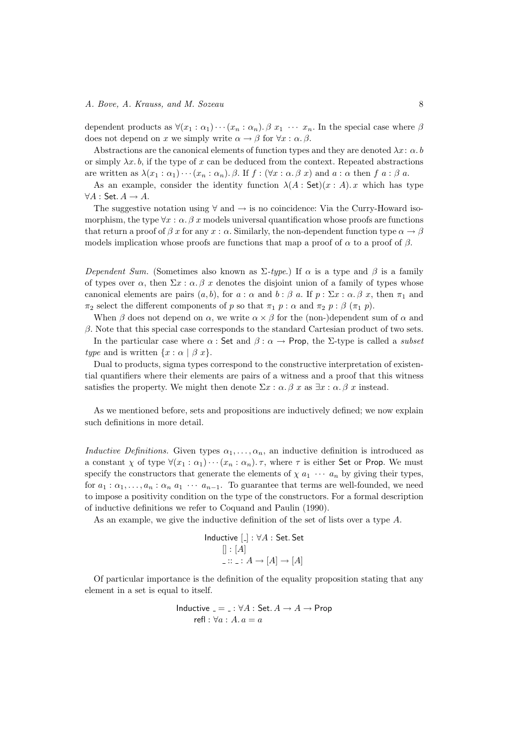dependent products as  $\forall (x_1 : \alpha_1) \cdots (x_n : \alpha_n) \beta x_1 \cdots x_n$ . In the special case where  $\beta$ does not depend on x we simply write  $\alpha \to \beta$  for  $\forall x : \alpha, \beta$ .

Abstractions are the canonical elements of function types and they are denoted  $\lambda x$ :  $\alpha$ . or simply  $\lambda x. b$ , if the type of x can be deduced from the context. Repeated abstractions are written as  $\lambda(x_1 : \alpha_1) \cdots (x_n : \alpha_n)$ .  $\beta$ . If  $f : (\forall x : \alpha \ldotp \beta x)$  and  $a : \alpha$  then  $f \alpha : \beta a$ .

As an example, consider the identity function  $\lambda(A : Set)(x : A)$ . x which has type  $\forall A : \mathsf{Set}. A \rightarrow A.$ 

The suggestive notation using  $\forall$  and  $\rightarrow$  is no coincidence: Via the Curry-Howard isomorphism, the type  $\forall x : \alpha, \beta x$  models universal quantification whose proofs are functions that return a proof of  $\beta x$  for any  $x : \alpha$ . Similarly, the non-dependent function type  $\alpha \to \beta$ models implication whose proofs are functions that map a proof of  $\alpha$  to a proof of  $\beta$ .

Dependent Sum. (Sometimes also known as  $\Sigma$ -type.) If  $\alpha$  is a type and  $\beta$  is a family of types over  $\alpha$ , then  $\Sigma x : \alpha \beta x$  denotes the disjoint union of a family of types whose canonical elements are pairs  $(a, b)$ , for  $a : \alpha$  and  $b : \beta a$ . If  $p : \Sigma x : \alpha \cdot \beta x$ , then  $\pi_1$  and  $\pi_2$  select the different components of p so that  $\pi_1$  p :  $\alpha$  and  $\pi_2$  p :  $\beta$  ( $\pi_1$  p).

When  $\beta$  does not depend on  $\alpha$ , we write  $\alpha \times \beta$  for the (non-)dependent sum of  $\alpha$  and  $\beta$ . Note that this special case corresponds to the standard Cartesian product of two sets.

In the particular case where  $\alpha$ : Set and  $\beta : \alpha \to \text{Prop}$ , the Σ-type is called a *subset* type and is written  $\{x : \alpha \mid \beta x\}.$ 

Dual to products, sigma types correspond to the constructive interpretation of existential quantifiers where their elements are pairs of a witness and a proof that this witness satisfies the property. We might then denote  $\Sigma x : \alpha, \beta, x$  as  $\exists x : \alpha, \beta, x$  instead.

As we mentioned before, sets and propositions are inductively defined; we now explain such definitions in more detail.

Inductive Definitions. Given types  $\alpha_1, \ldots, \alpha_n$ , an inductive definition is introduced as a constant  $\chi$  of type  $\forall (x_1 : \alpha_1) \cdots (x_n : \alpha_n) \in \tau$ , where  $\tau$  is either Set or Prop. We must specify the constructors that generate the elements of  $\chi$   $a_1 \cdots a_n$  by giving their types, for  $a_1 : \alpha_1, \ldots, a_n : \alpha_n a_1 \cdots a_{n-1}$ . To guarantee that terms are well-founded, we need to impose a positivity condition on the type of the constructors. For a formal description of inductive definitions we refer to Coquand and Paulin (1990).

As an example, we give the inductive definition of the set of lists over a type A.

Inductive 
$$
[\_]
$$
 :  $\forall A$  : Set. Set  
 $[] : [A]$   
 $\_$  ::  $\_$  :  $A \rightarrow [A] \rightarrow [A]$ 

Of particular importance is the definition of the equality proposition stating that any element in a set is equal to itself.

Inductive 
$$
\_ = \_ : \forall A : \text{Set. } A \to A \to \text{Prop}
$$
  
refl :  $\forall a : A. a = a$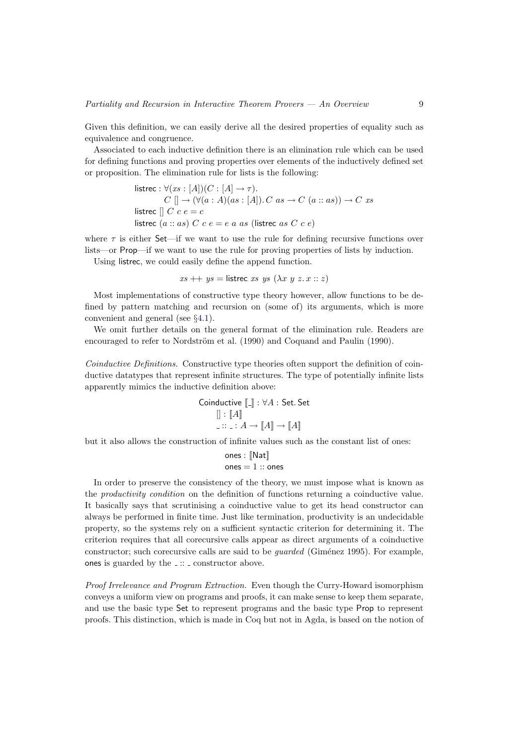Given this definition, we can easily derive all the desired properties of equality such as equivalence and congruence.

Associated to each inductive definition there is an elimination rule which can be used for defining functions and proving properties over elements of the inductively defined set or proposition. The elimination rule for lists is the following:

$$
\begin{aligned}\n\text{listrec}: \forall (xs: [A])(C: [A] \to \tau). \\
C \parallel \to (\forall (a: A)(as: [A]). C as \to C (a:: as)) \to C xs \\
\text{listrec} \parallel C \cdot e = c \\
\text{listrec} \cdot (a:: as) \quad C \cdot e = e \cdot a \cdot as \quad (\text{listrec} \cdot as \quad C \cdot e) \\
\end{aligned}
$$

where  $\tau$  is either Set—if we want to use the rule for defining recursive functions over lists—or Prop—if we want to use the rule for proving properties of lists by induction.

Using listrec, we could easily define the append function.

$$
xs + ys =
$$
 listrec *xs ys* ( $\lambda x$  *y z*.*x* :: *z*)

Most implementations of constructive type theory however, allow functions to be defined by pattern matching and recursion on (some of) its arguments, which is more convenient and general (see §[4.1\)](#page-12-1).

We omit further details on the general format of the elimination rule. Readers are encouraged to refer to Nordström et al. (1990) and Coquand and Paulin (1990).

Coinductive Definitions. Constructive type theories often support the definition of coinductive datatypes that represent infinite structures. The type of potentially infinite lists apparently mimics the inductive definition above:

Coinductive 
$$
[\![\cdot]\!] : \forall A : \text{Set}.
$$
 Set  $[\!] : [\![A]\!]$ 

\n\_\_ ::  $__ : A → [\![A]\!] → [\![A]\!]$ 

but it also allows the construction of infinite values such as the constant list of ones:

```
ones : [Nat]
ones = 1 :: ones
```
In order to preserve the consistency of the theory, we must impose what is known as the productivity condition on the definition of functions returning a coinductive value. It basically says that scrutinising a coinductive value to get its head constructor can always be performed in finite time. Just like termination, productivity is an undecidable property, so the systems rely on a sufficient syntactic criterion for determining it. The criterion requires that all corecursive calls appear as direct arguments of a coinductive constructor; such corecursive calls are said to be *guarded* (Giménez 1995). For example, ones is guarded by the  $\overline{\ }$  ::  $\overline{\ }$  constructor above.

Proof Irrelevance and Program Extraction. Even though the Curry-Howard isomorphism conveys a uniform view on programs and proofs, it can make sense to keep them separate, and use the basic type Set to represent programs and the basic type Prop to represent proofs. This distinction, which is made in Coq but not in Agda, is based on the notion of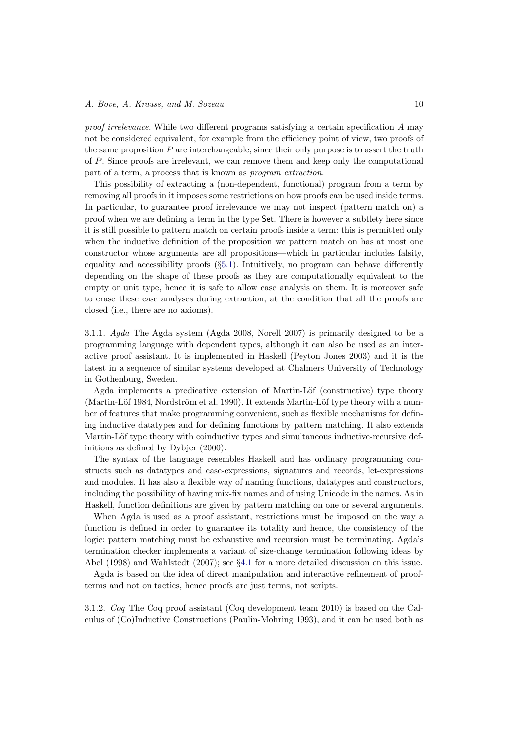proof irrelevance. While two different programs satisfying a certain specification A may not be considered equivalent, for example from the efficiency point of view, two proofs of the same proposition  $P$  are interchangeable, since their only purpose is to assert the truth of P. Since proofs are irrelevant, we can remove them and keep only the computational part of a term, a process that is known as program extraction.

This possibility of extracting a (non-dependent, functional) program from a term by removing all proofs in it imposes some restrictions on how proofs can be used inside terms. In particular, to guarantee proof irrelevance we may not inspect (pattern match on) a proof when we are defining a term in the type Set. There is however a subtlety here since it is still possible to pattern match on certain proofs inside a term: this is permitted only when the inductive definition of the proposition we pattern match on has at most one constructor whose arguments are all propositions—which in particular includes falsity, equality and accessibility proofs (§[5.1\)](#page-17-0). Intuitively, no program can behave differently depending on the shape of these proofs as they are computationally equivalent to the empty or unit type, hence it is safe to allow case analysis on them. It is moreover safe to erase these case analyses during extraction, at the condition that all the proofs are closed (i.e., there are no axioms).

3.1.1. Agda The Agda system (Agda 2008, Norell 2007) is primarily designed to be a programming language with dependent types, although it can also be used as an interactive proof assistant. It is implemented in Haskell (Peyton Jones 2003) and it is the latest in a sequence of similar systems developed at Chalmers University of Technology in Gothenburg, Sweden.

Agda implements a predicative extension of Martin-Löf (constructive) type theory (Martin-Löf 1984, Nordström et al. 1990). It extends Martin-Löf type theory with a number of features that make programming convenient, such as flexible mechanisms for defining inductive datatypes and for defining functions by pattern matching. It also extends Martin-Löf type theory with coinductive types and simultaneous inductive-recursive definitions as defined by Dybjer (2000).

The syntax of the language resembles Haskell and has ordinary programming constructs such as datatypes and case-expressions, signatures and records, let-expressions and modules. It has also a flexible way of naming functions, datatypes and constructors, including the possibility of having mix-fix names and of using Unicode in the names. As in Haskell, function definitions are given by pattern matching on one or several arguments.

When Agda is used as a proof assistant, restrictions must be imposed on the way a function is defined in order to guarantee its totality and hence, the consistency of the logic: pattern matching must be exhaustive and recursion must be terminating. Agda's termination checker implements a variant of size-change termination following ideas by Abel (1998) and Wahlstedt (2007); see §[4.1](#page-12-1) for a more detailed discussion on this issue.

Agda is based on the idea of direct manipulation and interactive refinement of proofterms and not on tactics, hence proofs are just terms, not scripts.

3.1.2. Coq The Coq proof assistant (Coq development team 2010) is based on the Calculus of (Co)Inductive Constructions (Paulin-Mohring 1993), and it can be used both as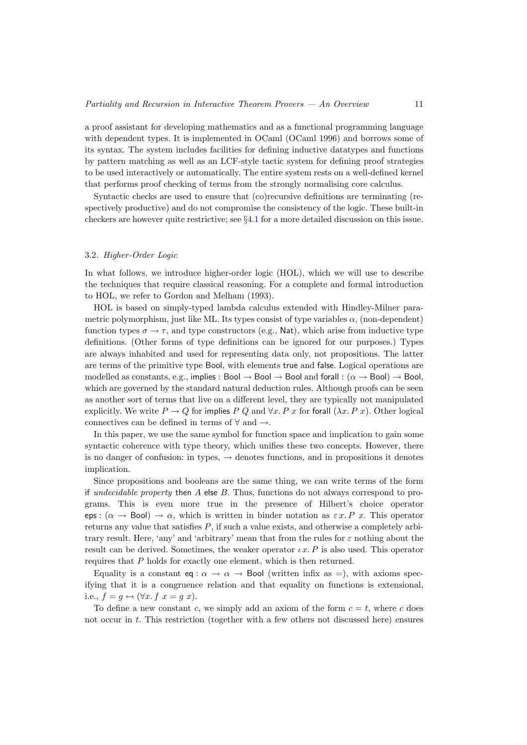a proof assistant for developing mathematics and as a functional programming language with dependent types. It is implemented in OCaml (OCaml 1996) and borrows some of its syntax. The system includes facilities for defining inductive datatypes and functions by pattern matching as well as an LCF-style tactic system for defining proof strategies to be used interactively or automatically. The entire system rests on a well-defined kernel that performs proof checking of terms from the strongly normalising core calculus.

Syntactic checks are used to ensure that (co)recursive definitions are terminating (respectively productive) and do not compromise the consistency of the logic. These built-in checkers are however quite restrictive; see §[4.1](#page-12-1) for a more detailed discussion on this issue.

## <span id="page-10-0"></span>3.2. Higher-Order Logic

In what follows, we introduce higher-order logic (HOL), which we will use to describe the techniques that require classical reasoning. For a complete and formal introduction to HOL, we refer to Gordon and Melham (1993).

HOL is based on simply-typed lambda calculus extended with Hindley-Milner parametric polymorphism, just like ML. Its types consist of type variables  $\alpha$ , (non-dependent) function types  $\sigma \to \tau$ , and type constructors (e.g., Nat), which arise from inductive type definitions. (Other forms of type definitions can be ignored for our purposes.) Types are always inhabited and used for representing data only, not propositions. The latter are terms of the primitive type Bool, with elements true and false. Logical operations are modelled as constants, e.g., implies : Bool  $\rightarrow$  Bool  $\rightarrow$  Bool and forall :  $(\alpha \rightarrow$  Bool)  $\rightarrow$  Bool, which are governed by the standard natural deduction rules. Although proofs can be seen as another sort of terms that live on a different level, they are typically not manipulated explicitly. We write  $P \to Q$  for implies P Q and  $\forall x$ . P x for forall  $(\lambda x. P x)$ . Other logical connectives can be defined in terms of  $\forall$  and  $\rightarrow$ .

In this paper, we use the same symbol for function space and implication to gain some syntactic coherence with type theory, which unifies these two concepts. However, there is no danger of confusion: in types,  $\rightarrow$  denotes functions, and in propositions it denotes implication.

Since propositions and booleans are the same thing, we can write terms of the form if undecidable property then  $A$  else  $B$ . Thus, functions do not always correspond to programs. This is even more true in the presence of Hilbert's choice operator eps :  $(\alpha \rightarrow \text{Bool}) \rightarrow \alpha$ , which is written in binder notation as  $\varepsilon x \cdot P x$ . This operator returns any value that satisfies P, if such a value exists, and otherwise a completely arbitrary result. Here, 'any' and 'arbitrary' mean that from the rules for  $\varepsilon$  nothing about the result can be derived. Sometimes, the weaker operator  $\iota x.P$  is also used. This operator requires that P holds for exactly one element, which is then returned.

Equality is a constant eq :  $\alpha \to \alpha \to$  Bool (written infix as =), with axioms specifying that it is a congruence relation and that equality on functions is extensional, i.e.,  $f = g \leftrightarrow (\forall x. f \ x = g \ x).$ 

To define a new constant c, we simply add an axiom of the form  $c = t$ , where c does not occur in t. This restriction (together with a few others not discussed here) ensures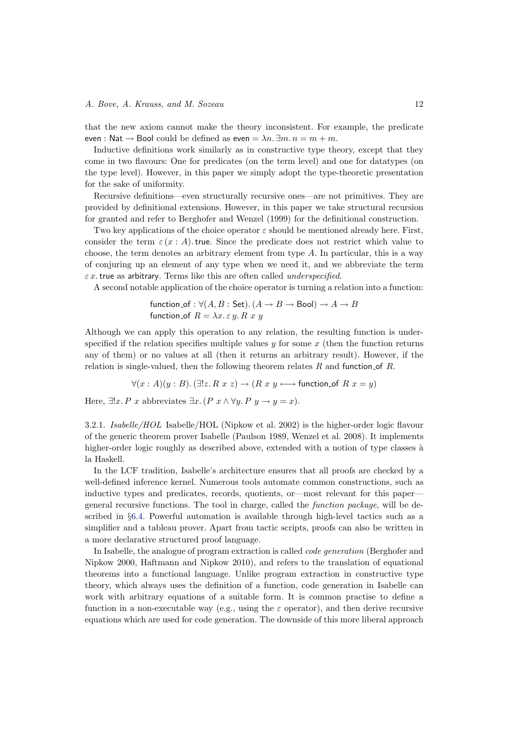that the new axiom cannot make the theory inconsistent. For example, the predicate even : Nat  $\rightarrow$  Bool could be defined as even =  $\lambda n$ .  $\exists m \cdot n = m + m$ .

Inductive definitions work similarly as in constructive type theory, except that they come in two flavours: One for predicates (on the term level) and one for datatypes (on the type level). However, in this paper we simply adopt the type-theoretic presentation for the sake of uniformity.

Recursive definitions—even structurally recursive ones—are not primitives. They are provided by definitional extensions. However, in this paper we take structural recursion for granted and refer to Berghofer and Wenzel (1999) for the definitional construction.

Two key applications of the choice operator  $\varepsilon$  should be mentioned already here. First, consider the term  $\varepsilon(x : A)$ .true. Since the predicate does not restrict which value to choose, the term denotes an arbitrary element from type A. In particular, this is a way of conjuring up an element of any type when we need it, and we abbreviate the term  $\varepsilon x$ . true as arbitrary. Terms like this are often called *underspecified*.

A second notable application of the choice operator is turning a relation into a function:

function\_of : 
$$
\forall (A, B : \mathsf{Set}) \cdot (A \rightarrow B \rightarrow \mathsf{Bool}) \rightarrow A \rightarrow B
$$
  
function\_of  $R = \lambda x \cdot \varepsilon y \cdot R x y$ 

Although we can apply this operation to any relation, the resulting function is underspecified if the relation specifies multiple values  $y$  for some  $x$  (then the function returns any of them) or no values at all (then it returns an arbitrary result). However, if the relation is single-valued, then the following theorem relates  $R$  and function of  $R$ .

 $\forall (x : A)(y : B)$ . ( $\exists ! z \in R \ x \ z) \rightarrow (R \ x \ y \longleftrightarrow$  function of  $R \ x = y$ )

Here,  $\exists !x.P \ x \ abbreviates \ \exists x.(P \ x \land \forall y.P \ y \ \rightarrow y=x).$ 

3.2.1. Isabelle/HOL Isabelle/HOL (Nipkow et al. 2002) is the higher-order logic flavour of the generic theorem prover Isabelle (Paulson 1989, Wenzel et al. 2008). It implements higher-order logic roughly as described above, extended with a notion of type classes à la Haskell.

In the LCF tradition, Isabelle's architecture ensures that all proofs are checked by a well-defined inference kernel. Numerous tools automate common constructions, such as inductive types and predicates, records, quotients, or—most relevant for this paper general recursive functions. The tool in charge, called the function package, will be described in §[6.4.](#page-37-0) Powerful automation is available through high-level tactics such as a simplifier and a tableau prover. Apart from tactic scripts, proofs can also be written in a more declarative structured proof language.

In Isabelle, the analogue of program extraction is called *code generation* (Berghofer and Nipkow 2000, Haftmann and Nipkow 2010), and refers to the translation of equational theorems into a functional language. Unlike program extraction in constructive type theory, which always uses the definition of a function, code generation in Isabelle can work with arbitrary equations of a suitable form. It is common practise to define a function in a non-executable way (e.g., using the  $\varepsilon$  operator), and then derive recursive equations which are used for code generation. The downside of this more liberal approach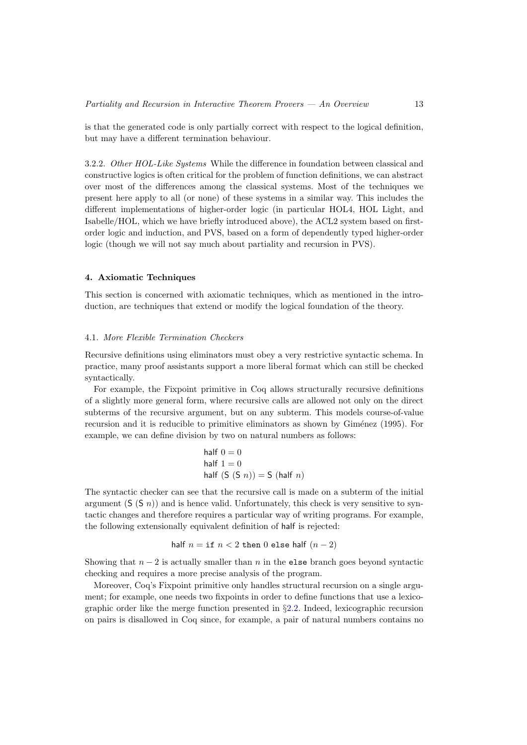is that the generated code is only partially correct with respect to the logical definition, but may have a different termination behaviour.

3.2.2. Other HOL-Like Systems While the difference in foundation between classical and constructive logics is often critical for the problem of function definitions, we can abstract over most of the differences among the classical systems. Most of the techniques we present here apply to all (or none) of these systems in a similar way. This includes the different implementations of higher-order logic (in particular HOL4, HOL Light, and Isabelle/HOL, which we have briefly introduced above), the ACL2 system based on firstorder logic and induction, and PVS, based on a form of dependently typed higher-order logic (though we will not say much about partiality and recursion in PVS).

## <span id="page-12-0"></span>4. Axiomatic Techniques

This section is concerned with axiomatic techniques, which as mentioned in the introduction, are techniques that extend or modify the logical foundation of the theory.

## <span id="page-12-1"></span>4.1. More Flexible Termination Checkers

Recursive definitions using eliminators must obey a very restrictive syntactic schema. In practice, many proof assistants support a more liberal format which can still be checked syntactically.

For example, the Fixpoint primitive in Coq allows structurally recursive definitions of a slightly more general form, where recursive calls are allowed not only on the direct subterms of the recursive argument, but on any subterm. This models course-of-value recursion and it is reducible to primitive eliminators as shown by Giménez (1995). For example, we can define division by two on natural numbers as follows:

half 
$$
0 = 0
$$
\nhalf  $1 = 0$ \nhalf  $(S (S n)) = S (half n)$ 

The syntactic checker can see that the recursive call is made on a subterm of the initial argument  $(S(S n))$  and is hence valid. Unfortunately, this check is very sensitive to syntactic changes and therefore requires a particular way of writing programs. For example, the following extensionally equivalent definition of half is rejected:

half 
$$
n =
$$
 if  $n < 2$  then 0 else half  $(n - 2)$ 

Showing that  $n-2$  is actually smaller than n in the else branch goes beyond syntactic checking and requires a more precise analysis of the program.

Moreover, Coq's Fixpoint primitive only handles structural recursion on a single argument; for example, one needs two fixpoints in order to define functions that use a lexicographic order like the merge function presented in §[2.2.](#page-5-0) Indeed, lexicographic recursion on pairs is disallowed in Coq since, for example, a pair of natural numbers contains no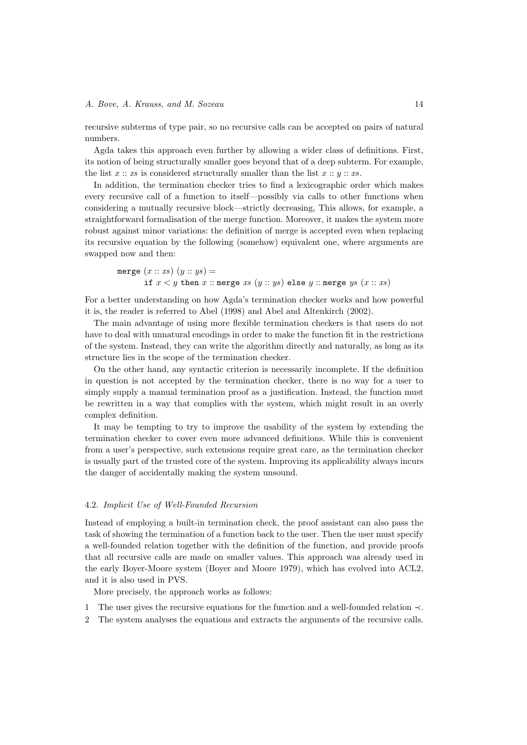recursive subterms of type pair, so no recursive calls can be accepted on pairs of natural numbers.

Agda takes this approach even further by allowing a wider class of definitions. First, its notion of being structurally smaller goes beyond that of a deep subterm. For example, the list  $x :: xs$  is considered structurally smaller than the list  $x :: y :: xs$ .

In addition, the termination checker tries to find a lexicographic order which makes every recursive call of a function to itself—possibly via calls to other functions when considering a mutually recursive block—strictly decreasing, This allows, for example, a straightforward formalisation of the merge function. Moreover, it makes the system more robust against minor variations: the definition of merge is accepted even when replacing its recursive equation by the following (somehow) equivalent one, where arguments are swapped now and then:

$$
\begin{aligned} \texttt{merge}\ (x::xs)\ (y::ys) = \\ \texttt{if}\ x < y\ \texttt{then}\ x::\texttt{merge}\ xs\ (y::ys)\ \texttt{else}\ y::\texttt{merge}\ ys\ (x::xs) \end{aligned}
$$

For a better understanding on how Agda's termination checker works and how powerful it is, the reader is referred to Abel (1998) and Abel and Altenkirch (2002).

The main advantage of using more flexible termination checkers is that users do not have to deal with unnatural encodings in order to make the function fit in the restrictions of the system. Instead, they can write the algorithm directly and naturally, as long as its structure lies in the scope of the termination checker.

On the other hand, any syntactic criterion is necessarily incomplete. If the definition in question is not accepted by the termination checker, there is no way for a user to simply supply a manual termination proof as a justification. Instead, the function must be rewritten in a way that complies with the system, which might result in an overly complex definition.

It may be tempting to try to improve the usability of the system by extending the termination checker to cover even more advanced definitions. While this is convenient from a user's perspective, such extensions require great care, as the termination checker is usually part of the trusted core of the system. Improving its applicability always incurs the danger of accidentally making the system unsound.

#### <span id="page-13-0"></span>4.2. Implicit Use of Well-Founded Recursion

Instead of employing a built-in termination check, the proof assistant can also pass the task of showing the termination of a function back to the user. Then the user must specify a well-founded relation together with the definition of the function, and provide proofs that all recursive calls are made on smaller values. This approach was already used in the early Boyer-Moore system (Boyer and Moore 1979), which has evolved into ACL2, and it is also used in PVS.

More precisely, the approach works as follows:

- 1 The user gives the recursive equations for the function and a well-founded relation ≺.
- 2 The system analyses the equations and extracts the arguments of the recursive calls.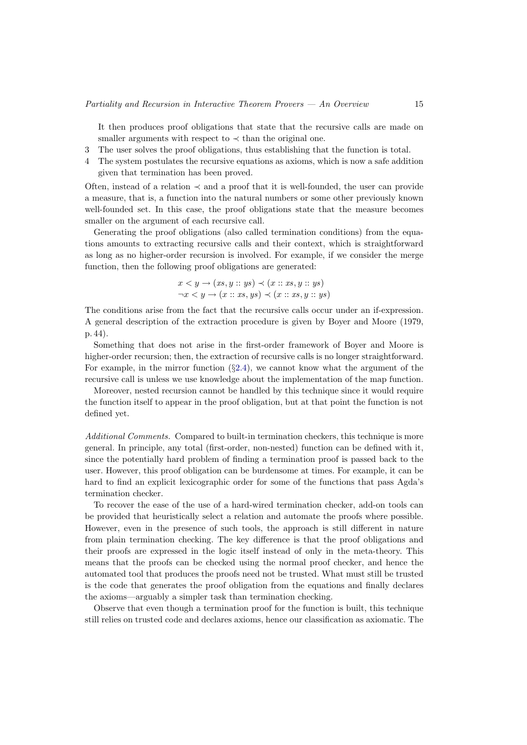It then produces proof obligations that state that the recursive calls are made on smaller arguments with respect to  $\prec$  than the original one.

- 3 The user solves the proof obligations, thus establishing that the function is total.
- 4 The system postulates the recursive equations as axioms, which is now a safe addition given that termination has been proved.

Often, instead of a relation  $\prec$  and a proof that it is well-founded, the user can provide a measure, that is, a function into the natural numbers or some other previously known well-founded set. In this case, the proof obligations state that the measure becomes smaller on the argument of each recursive call.

Generating the proof obligations (also called termination conditions) from the equations amounts to extracting recursive calls and their context, which is straightforward as long as no higher-order recursion is involved. For example, if we consider the merge function, then the following proof obligations are generated:

$$
x < y \rightarrow (xs, y :: ys) \prec (x :: xs, y :: ys)
$$
  

$$
\neg x < y \rightarrow (x :: xs, ys) \prec (x :: xs, y :: ys)
$$

The conditions arise from the fact that the recursive calls occur under an if-expression. A general description of the extraction procedure is given by Boyer and Moore (1979, p. 44).

Something that does not arise in the first-order framework of Boyer and Moore is higher-order recursion; then, the extraction of recursive calls is no longer straightforward. For example, in the mirror function  $(\S 2.4)$  $(\S 2.4)$ , we cannot know what the argument of the recursive call is unless we use knowledge about the implementation of the map function.

Moreover, nested recursion cannot be handled by this technique since it would require the function itself to appear in the proof obligation, but at that point the function is not defined yet.

Additional Comments. Compared to built-in termination checkers, this technique is more general. In principle, any total (first-order, non-nested) function can be defined with it, since the potentially hard problem of finding a termination proof is passed back to the user. However, this proof obligation can be burdensome at times. For example, it can be hard to find an explicit lexicographic order for some of the functions that pass Agda's termination checker.

To recover the ease of the use of a hard-wired termination checker, add-on tools can be provided that heuristically select a relation and automate the proofs where possible. However, even in the presence of such tools, the approach is still different in nature from plain termination checking. The key difference is that the proof obligations and their proofs are expressed in the logic itself instead of only in the meta-theory. This means that the proofs can be checked using the normal proof checker, and hence the automated tool that produces the proofs need not be trusted. What must still be trusted is the code that generates the proof obligation from the equations and finally declares the axioms—arguably a simpler task than termination checking.

Observe that even though a termination proof for the function is built, this technique still relies on trusted code and declares axioms, hence our classification as axiomatic. The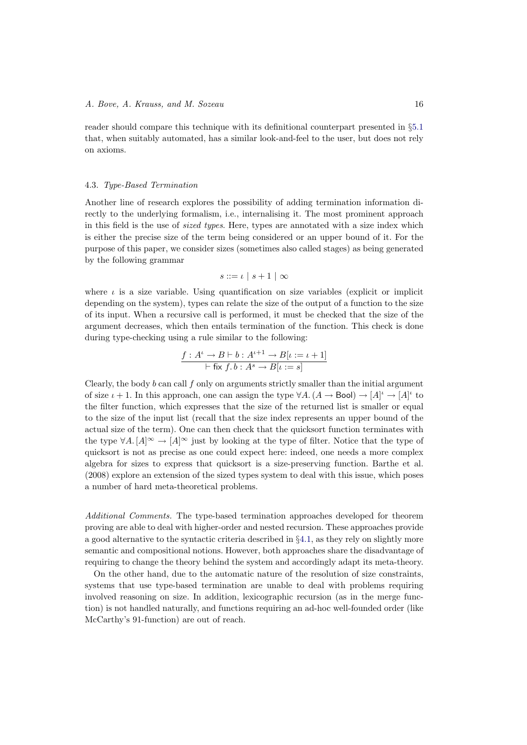reader should compare this technique with its definitional counterpart presented in §[5.1](#page-17-0) that, when suitably automated, has a similar look-and-feel to the user, but does not rely on axioms.

#### <span id="page-15-0"></span>4.3. Type-Based Termination

Another line of research explores the possibility of adding termination information directly to the underlying formalism, i.e., internalising it. The most prominent approach in this field is the use of sized types. Here, types are annotated with a size index which is either the precise size of the term being considered or an upper bound of it. For the purpose of this paper, we consider sizes (sometimes also called stages) as being generated by the following grammar

$$
s ::= \iota \mid s+1 \mid \infty
$$

where  $\iota$  is a size variable. Using quantification on size variables (explicit or implicit depending on the system), types can relate the size of the output of a function to the size of its input. When a recursive call is performed, it must be checked that the size of the argument decreases, which then entails termination of the function. This check is done during type-checking using a rule similar to the following:

$$
\frac{f: A^{\iota} \to B \vdash b: A^{\iota+1} \to B[\iota := \iota + 1]}{\vdash \text{fix } f. b: A^s \to B[\iota := s]}
$$

Clearly, the body  $b$  can call  $f$  only on arguments strictly smaller than the initial argument of size  $\iota + 1$ . In this approach, one can assign the type  $\forall A$ .  $(A \rightarrow \text{Bool}) \rightarrow [A]^{\iota} \rightarrow [A]^{\iota}$  to the filter function, which expresses that the size of the returned list is smaller or equal to the size of the input list (recall that the size index represents an upper bound of the actual size of the term). One can then check that the quicksort function terminates with the type  $\forall A \, [A]^\infty \to [A]^\infty$  just by looking at the type of filter. Notice that the type of quicksort is not as precise as one could expect here: indeed, one needs a more complex algebra for sizes to express that quicksort is a size-preserving function. Barthe et al. (2008) explore an extension of the sized types system to deal with this issue, which poses a number of hard meta-theoretical problems.

Additional Comments. The type-based termination approaches developed for theorem proving are able to deal with higher-order and nested recursion. These approaches provide a good alternative to the syntactic criteria described in §[4.1,](#page-12-1) as they rely on slightly more semantic and compositional notions. However, both approaches share the disadvantage of requiring to change the theory behind the system and accordingly adapt its meta-theory.

On the other hand, due to the automatic nature of the resolution of size constraints, systems that use type-based termination are unable to deal with problems requiring involved reasoning on size. In addition, lexicographic recursion (as in the merge function) is not handled naturally, and functions requiring an ad-hoc well-founded order (like McCarthy's 91-function) are out of reach.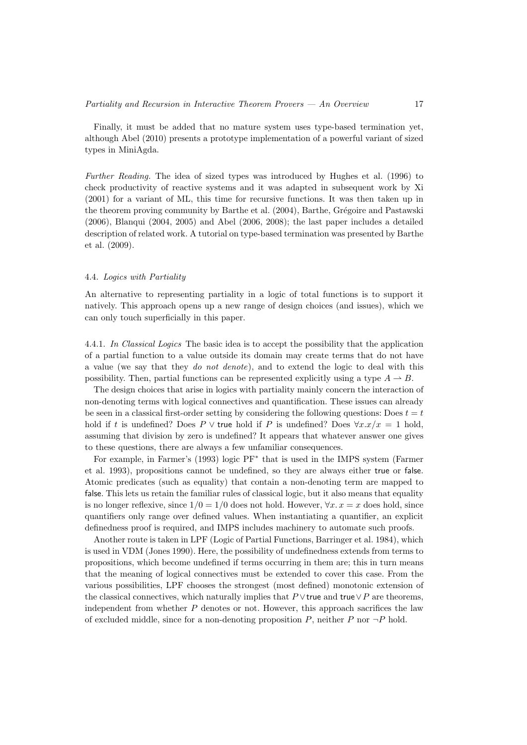Finally, it must be added that no mature system uses type-based termination yet, although Abel (2010) presents a prototype implementation of a powerful variant of sized types in MiniAgda.

Further Reading. The idea of sized types was introduced by Hughes et al. (1996) to check productivity of reactive systems and it was adapted in subsequent work by Xi (2001) for a variant of ML, this time for recursive functions. It was then taken up in the theorem proving community by Barthe et al.  $(2004)$ , Barthe, Grégoire and Pastawski (2006), Blanqui (2004, 2005) and Abel (2006, 2008); the last paper includes a detailed description of related work. A tutorial on type-based termination was presented by Barthe et al. (2009).

## <span id="page-16-0"></span>4.4. Logics with Partiality

An alternative to representing partiality in a logic of total functions is to support it natively. This approach opens up a new range of design choices (and issues), which we can only touch superficially in this paper.

4.4.1. In Classical Logics The basic idea is to accept the possibility that the application of a partial function to a value outside its domain may create terms that do not have a value (we say that they do not denote), and to extend the logic to deal with this possibility. Then, partial functions can be represented explicitly using a type  $A \rightarrow B$ .

The design choices that arise in logics with partiality mainly concern the interaction of non-denoting terms with logical connectives and quantification. These issues can already be seen in a classical first-order setting by considering the following questions: Does  $t = t$ hold if t is undefined? Does P  $\vee$  true hold if P is undefined? Does  $\forall x.x/x = 1$  hold, assuming that division by zero is undefined? It appears that whatever answer one gives to these questions, there are always a few unfamiliar consequences.

For example, in Farmer's (1993) logic PF<sup>∗</sup> that is used in the IMPS system (Farmer et al. 1993), propositions cannot be undefined, so they are always either true or false. Atomic predicates (such as equality) that contain a non-denoting term are mapped to false. This lets us retain the familiar rules of classical logic, but it also means that equality is no longer reflexive, since  $1/0 = 1/0$  does not hold. However,  $\forall x \cdot x = x$  does hold, since quantifiers only range over defined values. When instantiating a quantifier, an explicit definedness proof is required, and IMPS includes machinery to automate such proofs.

Another route is taken in LPF (Logic of Partial Functions, Barringer et al. 1984), which is used in VDM (Jones 1990). Here, the possibility of undefinedness extends from terms to propositions, which become undefined if terms occurring in them are; this in turn means that the meaning of logical connectives must be extended to cover this case. From the various possibilities, LPF chooses the strongest (most defined) monotonic extension of the classical connectives, which naturally implies that  $P \vee$  true and true  $\vee P$  are theorems, independent from whether  $P$  denotes or not. However, this approach sacrifices the law of excluded middle, since for a non-denoting proposition  $P$ , neither  $P$  nor  $\neg P$  hold.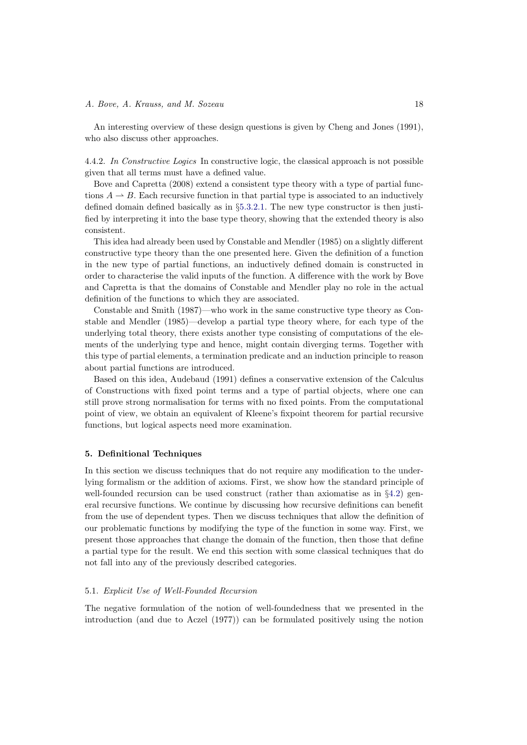An interesting overview of these design questions is given by Cheng and Jones (1991), who also discuss other approaches.

4.4.2. In Constructive Logics In constructive logic, the classical approach is not possible given that all terms must have a defined value.

Bove and Capretta (2008) extend a consistent type theory with a type of partial functions  $A \rightarrow B$ . Each recursive function in that partial type is associated to an inductively defined domain defined basically as in §[5.3.2.1.](#page-23-0) The new type constructor is then justified by interpreting it into the base type theory, showing that the extended theory is also consistent.

This idea had already been used by Constable and Mendler (1985) on a slightly different constructive type theory than the one presented here. Given the definition of a function in the new type of partial functions, an inductively defined domain is constructed in order to characterise the valid inputs of the function. A difference with the work by Bove and Capretta is that the domains of Constable and Mendler play no role in the actual definition of the functions to which they are associated.

Constable and Smith (1987)—who work in the same constructive type theory as Constable and Mendler (1985)—develop a partial type theory where, for each type of the underlying total theory, there exists another type consisting of computations of the elements of the underlying type and hence, might contain diverging terms. Together with this type of partial elements, a termination predicate and an induction principle to reason about partial functions are introduced.

Based on this idea, Audebaud (1991) defines a conservative extension of the Calculus of Constructions with fixed point terms and a type of partial objects, where one can still prove strong normalisation for terms with no fixed points. From the computational point of view, we obtain an equivalent of Kleene's fixpoint theorem for partial recursive functions, but logical aspects need more examination.

# <span id="page-17-1"></span>5. Definitional Techniques

In this section we discuss techniques that do not require any modification to the underlying formalism or the addition of axioms. First, we show how the standard principle of well-founded recursion can be used construct (rather than axiomatise as in  $\S4.2$ ) general recursive functions. We continue by discussing how recursive definitions can benefit from the use of dependent types. Then we discuss techniques that allow the definition of our problematic functions by modifying the type of the function in some way. First, we present those approaches that change the domain of the function, then those that define a partial type for the result. We end this section with some classical techniques that do not fall into any of the previously described categories.

## <span id="page-17-0"></span>5.1. Explicit Use of Well-Founded Recursion

The negative formulation of the notion of well-foundedness that we presented in the introduction (and due to Aczel (1977)) can be formulated positively using the notion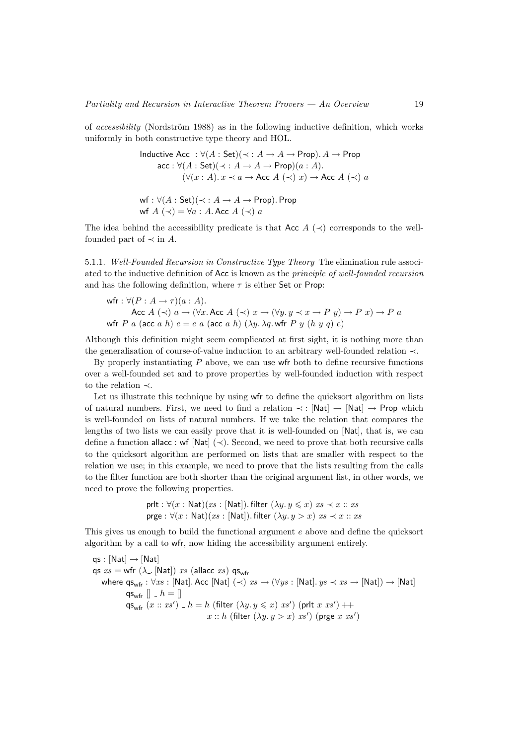of accessibility (Nordström 1988) as in the following inductive definition, which works uniformly in both constructive type theory and HOL.

Inductive Acc : 
$$
\forall
$$
(*A* : Set)( $\prec$  : *A*  $\rightarrow$  *A*  $\rightarrow$  Prop). *A*  $\rightarrow$  Prop  
acc :  $\forall$ (*A* : Set)( $\prec$  : *A*  $\rightarrow$  *A*  $\rightarrow$  Prop)(*a* : *A*).  
 $(\forall (x : A). x \prec a \rightarrow Acc \land (\prec) x) \rightarrow Acc \land (\prec) a$   
wf :  $\forall$ (*A* : Set)( $\prec$  : *A*  $\rightarrow$  *A*  $\rightarrow$  Prop). Prop  
wf *A* ( $\prec$ ) =  $\forall$ *a* : *A*. Acc *A* ( $\prec$ ) *a*

The idea behind the accessibility predicate is that Acc  $A(\prec)$  corresponds to the wellfounded part of  $\prec$  in A.

<span id="page-18-0"></span>5.1.1. Well-Founded Recursion in Constructive Type Theory The elimination rule associated to the inductive definition of Acc is known as the principle of well-founded recursion and has the following definition, where  $\tau$  is either Set or Prop:

$$
\begin{aligned}\n\text{wfr}: \forall (P: A \to \tau)(a: A). \\
\text{Acc } A &(\prec) a \to (\forall x. \text{Acc } A (\prec) x \to (\forall y. y \prec x \to P y) \to P x) \to P a \\
\text{wfr } P & a \text{ (acc } a h) e = e a \text{ (acc } a h) (\lambda y. \lambda q. \text{wfr } P y \text{ (h } y q) e)\n\end{aligned}
$$

Although this definition might seem complicated at first sight, it is nothing more than the generalisation of course-of-value induction to an arbitrary well-founded relation ≺.

By properly instantiating  $P$  above, we can use wfr both to define recursive functions over a well-founded set and to prove properties by well-founded induction with respect to the relation ≺.

Let us illustrate this technique by using wfr to define the quicksort algorithm on lists of natural numbers. First, we need to find a relation  $\prec : [Nat] \rightarrow [Nat] \rightarrow Prop$  which is well-founded on lists of natural numbers. If we take the relation that compares the lengths of two lists we can easily prove that it is well-founded on [Nat], that is, we can define a function allacc : wf [Nat]  $(\prec)$ . Second, we need to prove that both recursive calls to the quicksort algorithm are performed on lists that are smaller with respect to the relation we use; in this example, we need to prove that the lists resulting from the calls to the filter function are both shorter than the original argument list, in other words, we need to prove the following properties.

$$
\begin{array}{l}\n\text{prlt}: \forall (x: \mathsf{Nat})(xs: [\mathsf{Nat}]). \text{ filter } (\lambda y. y \leqslant x) \text{ } xs \prec x :: xs \\
\text{prge}: \forall (x: \mathsf{Nat})(xs: [\mathsf{Nat}]). \text{ filter } (\lambda y. y > x) \text{ } xs \prec x :: xs\n\end{array}
$$

This gives us enough to build the functional argument e above and define the quicksort algorithm by a call to wfr, now hiding the accessibility argument entirely.

$$
\begin{aligned} \mathsf{qs}: \left[ \mathsf{Nat} \right] &\rightarrow \left[ \mathsf{Nat} \right] \\ \mathsf{qs} \ x s &= \mathsf{wfr}\left(\ \lambda_-\left[ \mathsf{Nat} \right] \right) \ x s \ \text{(alloc } x s) \ \mathsf{qs}_{\mathsf{wfr}} \\ \mathsf{where} \ \mathsf{qs}_{\mathsf{wfr}}: \forall x s: \left[ \mathsf{Nat} \right]. \ \mathsf{Acc} \left[ \mathsf{Nat} \right] \ (\prec) \ x s \rightarrow (\forall y s: \left[ \mathsf{Nat} \right]. \ y s \prec x s \rightarrow \left[ \mathsf{Nat} \right]) \rightarrow \left[ \mathsf{Nat} \right] \\ \mathsf{qs}_{\mathsf{wfr}} \left[ \ \right] \ _- \ h &= \left[ \right] \\ \mathsf{qs}_{\mathsf{wfr}} \left( \ x:: x s' \right) \ _- \ h &= h \ \text{(filter } \left( \lambda y. \ y \leqslant x \right) \ x s' \right) \ (\text{prlt } x \ x s') \ + \\ x&:: h \ \text{(filter } \left( \lambda y. \ y > x \right) \ x s' \right) \ (\text{prge } x \ x s') \end{aligned}
$$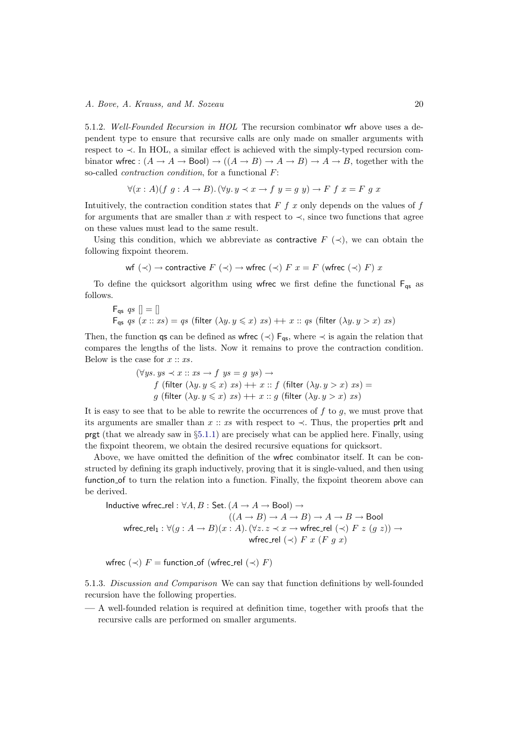<span id="page-19-0"></span>5.1.2. Well-Founded Recursion in HOL The recursion combinator wfr above uses a dependent type to ensure that recursive calls are only made on smaller arguments with respect to ≺. In HOL, a similar effect is achieved with the simply-typed recursion combinator wfrec :  $(A \to A \to \text{Bool}) \to ((A \to B) \to A \to B) \to A \to B$ , together with the so-called contraction condition, for a functional F:

$$
\forall (x:A)(f\ g:A\rightarrow B). \ (\forall y.\ y \prec x \rightarrow f \ y=g\ y) \rightarrow F\ f\ x=F\ g\ x
$$

Intuitively, the contraction condition states that  $F f x$  only depends on the values of  $f$ for arguments that are smaller than x with respect to  $\prec$ , since two functions that agree on these values must lead to the same result.

Using this condition, which we abbreviate as contractive  $F(\prec)$ , we can obtain the following fixpoint theorem.

$$
\mathsf{wf} \; (\prec) \to \text{contractive } F \; (\prec) \to \text{wfree } (\prec) \; F \; x = F \; (\text{wfree } (\prec) \; F) \; x
$$

To define the quicksort algorithm using wfrec we first define the functional  $F_{qs}$  as follows.

$$
\begin{aligned}\n\mathsf{F}_{\mathsf{qs}} \ qs \ [] &= [] \\
\mathsf{F}_{\mathsf{qs}} \ qs \ (x :: xs) = qs \ (\text{filter} \ (\lambda y. \ y \leqslant x) \ xs) + + x :: qs \ (\text{filter} \ (\lambda y. \ y > x) \ xs)\n\end{aligned}
$$

Then, the function qs can be defined as wfree  $(\prec)$   $\mathsf{F}_{\mathsf{gs}}$ , where  $\prec$  is again the relation that compares the lengths of the lists. Now it remains to prove the contraction condition. Below is the case for  $x:: xs$ .

$$
(\forall y s. y s \prec x :: xs \rightarrow f y s = g y s) \rightarrow
$$
  

$$
f \text{ (filter } (\lambda y. y \leq x) \text{ } xs) + + x :: f \text{ (filter } (\lambda y. y > x) \text{ } xs) =
$$
  

$$
g \text{ (filter } (\lambda y. y \leq x) \text{ } xs) + + x :: g \text{ (filter } (\lambda y. y > x) \text{ } xs)
$$

It is easy to see that to be able to rewrite the occurrences of  $f$  to  $g$ , we must prove that its arguments are smaller than  $x :: xs$  with respect to  $\prec$ . Thus, the properties prit and prgt (that we already saw in §[5.1.1\)](#page-18-0) are precisely what can be applied here. Finally, using the fixpoint theorem, we obtain the desired recursive equations for quicksort.

Above, we have omitted the definition of the wfrec combinator itself. It can be constructed by defining its graph inductively, proving that it is single-valued, and then using function of to turn the relation into a function. Finally, the fixpoint theorem above can be derived.

Inductive where\_rel : 
$$
\forall A, B
$$
 : Set.  $(A \rightarrow A \rightarrow \text{Bool}) \rightarrow$   
\n $((A \rightarrow B) \rightarrow A \rightarrow B) \rightarrow A \rightarrow B \rightarrow \text{Bool})$   
\nwhere\_rel<sub>1</sub> :  $\forall (g : A \rightarrow B)(x : A)$ .  $(\forall z. z \prec x \rightarrow \text{urfec_rel } (\prec) F z (g z)) \rightarrow$   
\nwhere\_rel ( $\prec$ )  $F x (F g x)$ 

wfrec  $(\prec)$  F = function of (wfrec\_rel  $(\prec)$  F)

5.1.3. Discussion and Comparison We can say that function definitions by well-founded recursion have the following properties.

— A well-founded relation is required at definition time, together with proofs that the recursive calls are performed on smaller arguments.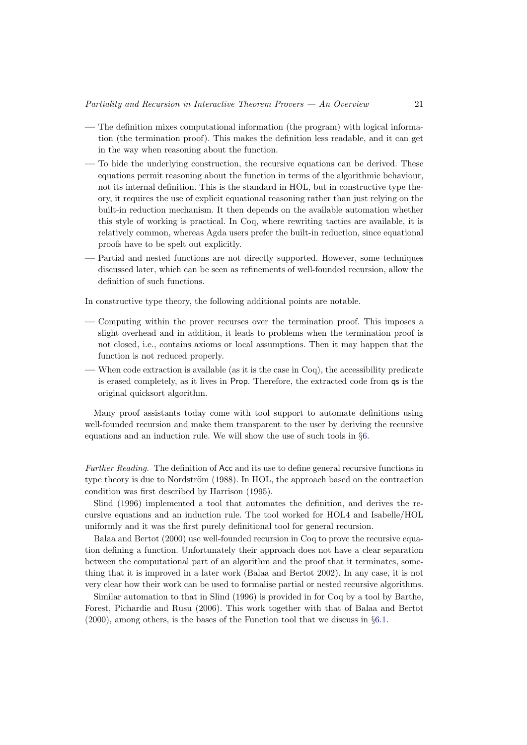- The definition mixes computational information (the program) with logical information (the termination proof). This makes the definition less readable, and it can get in the way when reasoning about the function.
- To hide the underlying construction, the recursive equations can be derived. These equations permit reasoning about the function in terms of the algorithmic behaviour, not its internal definition. This is the standard in HOL, but in constructive type theory, it requires the use of explicit equational reasoning rather than just relying on the built-in reduction mechanism. It then depends on the available automation whether this style of working is practical. In Coq, where rewriting tactics are available, it is relatively common, whereas Agda users prefer the built-in reduction, since equational proofs have to be spelt out explicitly.
- Partial and nested functions are not directly supported. However, some techniques discussed later, which can be seen as refinements of well-founded recursion, allow the definition of such functions.

In constructive type theory, the following additional points are notable.

- Computing within the prover recurses over the termination proof. This imposes a slight overhead and in addition, it leads to problems when the termination proof is not closed, i.e., contains axioms or local assumptions. Then it may happen that the function is not reduced properly.
- When code extraction is available (as it is the case in Coq), the accessibility predicate is erased completely, as it lives in Prop. Therefore, the extracted code from qs is the original quicksort algorithm.

Many proof assistants today come with tool support to automate definitions using well-founded recursion and make them transparent to the user by deriving the recursive equations and an induction rule. We will show the use of such tools in §[6.](#page-34-0)

Further Reading. The definition of Acc and its use to define general recursive functions in type theory is due to Nordström (1988). In HOL, the approach based on the contraction condition was first described by Harrison (1995).

Slind (1996) implemented a tool that automates the definition, and derives the recursive equations and an induction rule. The tool worked for HOL4 and Isabelle/HOL uniformly and it was the first purely definitional tool for general recursion.

Balaa and Bertot (2000) use well-founded recursion in Coq to prove the recursive equation defining a function. Unfortunately their approach does not have a clear separation between the computational part of an algorithm and the proof that it terminates, something that it is improved in a later work (Balaa and Bertot 2002). In any case, it is not very clear how their work can be used to formalise partial or nested recursive algorithms.

Similar automation to that in Slind (1996) is provided in for Coq by a tool by Barthe, Forest, Pichardie and Rusu (2006). This work together with that of Balaa and Bertot (2000), among others, is the bases of the Function tool that we discuss in §[6.1.](#page-35-0)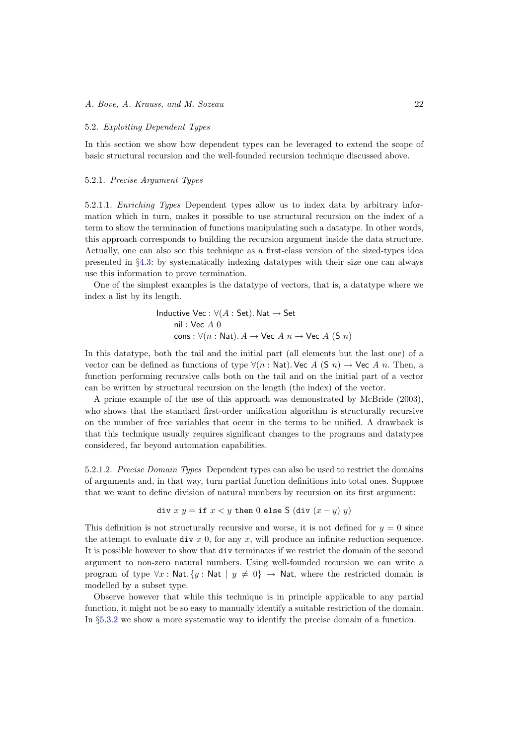## <span id="page-21-1"></span>5.2. Exploiting Dependent Types

In this section we show how dependent types can be leveraged to extend the scope of basic structural recursion and the well-founded recursion technique discussed above.

## <span id="page-21-0"></span>5.2.1. Precise Argument Types

5.2.1.1. Enriching Types Dependent types allow us to index data by arbitrary information which in turn, makes it possible to use structural recursion on the index of a term to show the termination of functions manipulating such a datatype. In other words, this approach corresponds to building the recursion argument inside the data structure. Actually, one can also see this technique as a first-class version of the sized-types idea presented in §[4.3:](#page-15-0) by systematically indexing datatypes with their size one can always use this information to prove termination.

One of the simplest examples is the datatype of vectors, that is, a datatype where we index a list by its length.

Inductive Vec: 
$$
\forall (A : Set)
$$
. Nat  $\rightarrow$  Set  
nil: Vec *A* 0  
cons:  $\forall (n : Nat)$ .  $A \rightarrow \forall ec \, A \, n \rightarrow \forall ec \, A \, (S \, n)$ 

In this datatype, both the tail and the initial part (all elements but the last one) of a vector can be defined as functions of type  $\forall (n : \mathsf{Nat})$ . Vec A  $(S, n) \rightarrow$  Vec A n. Then, a function performing recursive calls both on the tail and on the initial part of a vector can be written by structural recursion on the length (the index) of the vector.

A prime example of the use of this approach was demonstrated by McBride (2003), who shows that the standard first-order unification algorithm is structurally recursive on the number of free variables that occur in the terms to be unified. A drawback is that this technique usually requires significant changes to the programs and datatypes considered, far beyond automation capabilities.

5.2.1.2. Precise Domain Types Dependent types can also be used to restrict the domains of arguments and, in that way, turn partial function definitions into total ones. Suppose that we want to define division of natural numbers by recursion on its first argument:

div 
$$
x
$$
  $y =$  if  $x < y$  then 0 else S (div  $(x - y) y$ )

This definition is not structurally recursive and worse, it is not defined for  $y = 0$  since the attempt to evaluate  $\text{div } x$  0, for any x, will produce an infinite reduction sequence. It is possible however to show that div terminates if we restrict the domain of the second argument to non-zero natural numbers. Using well-founded recursion we can write a program of type  $\forall x : \mathsf{Nat} \{y : \mathsf{Nat} \mid y \neq 0\} \rightarrow \mathsf{Nat}$ , where the restricted domain is modelled by a subset type.

Observe however that while this technique is in principle applicable to any partial function, it might not be so easy to manually identify a suitable restriction of the domain. In §[5.3.2](#page-23-1) we show a more systematic way to identify the precise domain of a function.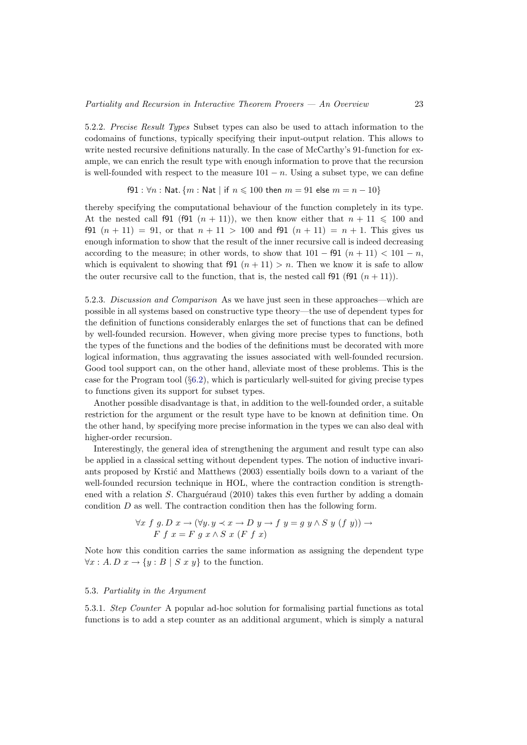<span id="page-22-0"></span>5.2.2. Precise Result Types Subset types can also be used to attach information to the codomains of functions, typically specifying their input-output relation. This allows to write nested recursive definitions naturally. In the case of McCarthy's 91-function for example, we can enrich the result type with enough information to prove that the recursion is well-founded with respect to the measure  $101 - n$ . Using a subset type, we can define

f91: 
$$
\forall n
$$
: Nat. {*m* : Nat | if  $n \le 100$  then  $m = 91$  else  $m = n - 10$ }

thereby specifying the computational behaviour of the function completely in its type. At the nested call f91 (f91  $(n + 11)$ ), we then know either that  $n + 11 \le 100$  and f91  $(n + 11) = 91$ , or that  $n + 11 > 100$  and f91  $(n + 11) = n + 1$ . This gives us enough information to show that the result of the inner recursive call is indeed decreasing according to the measure; in other words, to show that  $101 - 691$   $(n + 11) < 101 - n$ , which is equivalent to showing that f91  $(n + 11) > n$ . Then we know it is safe to allow the outer recursive call to the function, that is, the nested call f91 (f91  $(n+11)$ ).

5.2.3. Discussion and Comparison As we have just seen in these approaches—which are possible in all systems based on constructive type theory—the use of dependent types for the definition of functions considerably enlarges the set of functions that can be defined by well-founded recursion. However, when giving more precise types to functions, both the types of the functions and the bodies of the definitions must be decorated with more logical information, thus aggravating the issues associated with well-founded recursion. Good tool support can, on the other hand, alleviate most of these problems. This is the case for the Program tool  $(\S6.2)$  $(\S6.2)$ , which is particularly well-suited for giving precise types to functions given its support for subset types.

Another possible disadvantage is that, in addition to the well-founded order, a suitable restriction for the argument or the result type have to be known at definition time. On the other hand, by specifying more precise information in the types we can also deal with higher-order recursion.

Interestingly, the general idea of strengthening the argument and result type can also be applied in a classical setting without dependent types. The notion of inductive invariants proposed by Krstić and Matthews (2003) essentially boils down to a variant of the well-founded recursion technique in HOL, where the contraction condition is strengthened with a relation S. Charguéraud (2010) takes this even further by adding a domain condition  $D$  as well. The contraction condition then has the following form.

$$
\forall x \ f \ g. D \ x \to (\forall y \ y \prec x \to D \ y \to f \ y = g \ y \land S \ y \ (f \ y)) \to
$$
  

$$
F \ f \ x = F \ g \ x \land S \ x \ (F \ f \ x)
$$

Note how this condition carries the same information as assigning the dependent type  $\forall x : A.D x \rightarrow \{y : B \mid S x y\}$  to the function.

#### <span id="page-22-2"></span>5.3. Partiality in the Argument

<span id="page-22-1"></span>5.3.1. Step Counter A popular ad-hoc solution for formalising partial functions as total functions is to add a step counter as an additional argument, which is simply a natural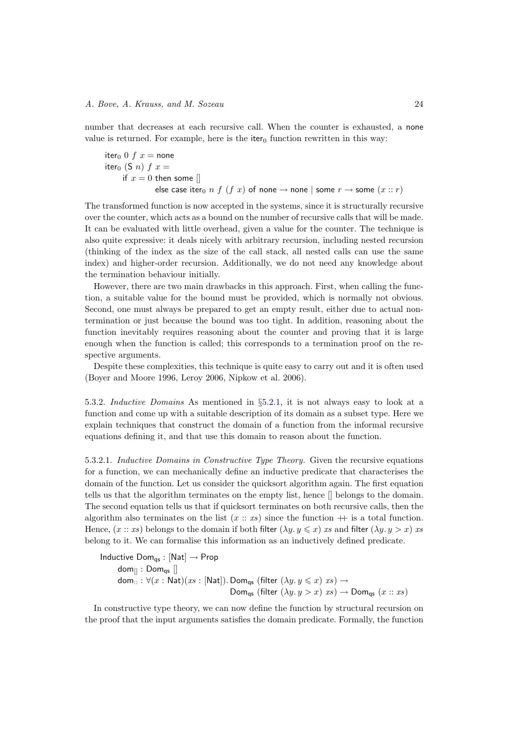number that decreases at each recursive call. When the counter is exhausted, a none value is returned. For example, here is the iter<sub>0</sub> function rewritten in this way:

$$
\begin{aligned}\n\text{iter}_0 & 0 & f & x &= \text{none} \\
\text{iter}_0 & (\text{S } n) & f & x &= \\
& \text{if } x &= 0 \text{ then some } [] \\
& \text{else case } \text{iter}_0 & n & f & (f & x) \text{ of none} \rightarrow \text{none} \mid \text{some } r \rightarrow \text{some } (x :: r)\n\end{aligned}
$$

The transformed function is now accepted in the systems, since it is structurally recursive over the counter, which acts as a bound on the number of recursive calls that will be made. It can be evaluated with little overhead, given a value for the counter. The technique is also quite expressive: it deals nicely with arbitrary recursion, including nested recursion (thinking of the index as the size of the call stack, all nested calls can use the same index) and higher-order recursion. Additionally, we do not need any knowledge about the termination behaviour initially.

However, there are two main drawbacks in this approach. First, when calling the function, a suitable value for the bound must be provided, which is normally not obvious. Second, one must always be prepared to get an empty result, either due to actual nontermination or just because the bound was too tight. In addition, reasoning about the function inevitably requires reasoning about the counter and proving that it is large enough when the function is called; this corresponds to a termination proof on the respective arguments.

Despite these complexities, this technique is quite easy to carry out and it is often used (Boyer and Moore 1996, Leroy 2006, Nipkow et al. 2006).

<span id="page-23-1"></span>5.3.2. Inductive Domains As mentioned in §[5.2.1,](#page-21-0) it is not always easy to look at a function and come up with a suitable description of its domain as a subset type. Here we explain techniques that construct the domain of a function from the informal recursive equations defining it, and that use this domain to reason about the function.

<span id="page-23-0"></span>5.3.2.1. Inductive Domains in Constructive Type Theory. Given the recursive equations for a function, we can mechanically define an inductive predicate that characterises the domain of the function. Let us consider the quicksort algorithm again. The first equation tells us that the algorithm terminates on the empty list, hence [] belongs to the domain. The second equation tells us that if quicksort terminates on both recursive calls, then the algorithm also terminates on the list  $(x:: xs)$  since the function  $+$  is a total function. Hence,  $(x::xs)$  belongs to the domain if both filter  $(\lambda y. y \leq x)$  xs and filter  $(\lambda y. y > x)$  xs belong to it. We can formalise this information as an inductively defined predicate.

Inductive  $Dom_{qs}:$  [Nat]  $\rightarrow$  Prop  $dom_{\Pi} : Dom_{qs}$   $\Box$ dom<sub>::</sub> :  $\forall (x : \text{Nat})(xs : [\text{Nat}]).$  Dom<sub>as</sub> (filter  $(\lambda y. y \leq x)$   $xs) \rightarrow$  $\text{Dom}_{\text{gs}}$  (filter  $(\lambda y. y > x)$   $xs) \rightarrow \text{Dom}_{\text{gs}} (x :: xs)$ 

In constructive type theory, we can now define the function by structural recursion on the proof that the input arguments satisfies the domain predicate. Formally, the function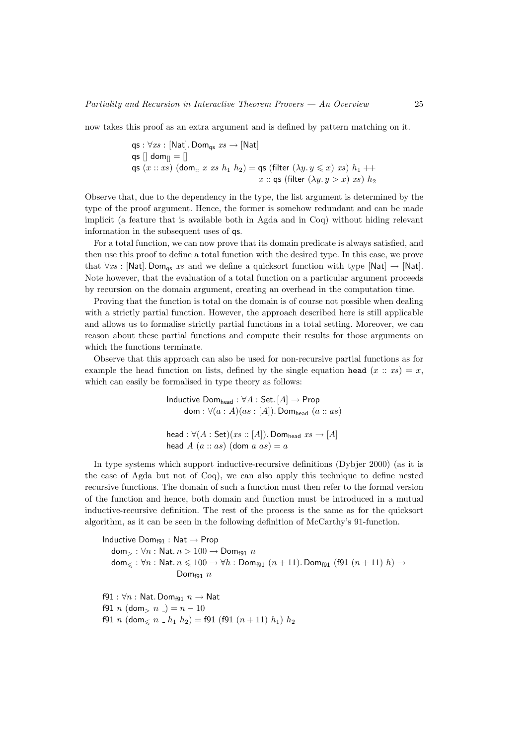now takes this proof as an extra argument and is defined by pattern matching on it.

$$
\begin{aligned}\n\mathsf{qs}: \forall x s: [\mathsf{Nat}]. \mathsf{Dom}_{\mathsf{qs}} \ x s \to [\mathsf{Nat}] \\
\mathsf{qs} \left[ \begin{array}{c} \mathsf{dom}_{\mathbb{I}} = [] \\
\mathsf{qs} \ (x::xs) \ (\mathsf{dom}_{::} \ x \ xs \ h_1 \ h_2) = \mathsf{qs} \ (\mathsf{filter} \ (\lambda y.\ y \leqslant x) \ xs) \ h_1 \ + \\
& x::\mathsf{qs} \ (\mathsf{filter} \ (\lambda y.\ y > x) \ xs) \ h_2\n\end{array}\n\end{aligned}
$$

Observe that, due to the dependency in the type, the list argument is determined by the type of the proof argument. Hence, the former is somehow redundant and can be made implicit (a feature that is available both in Agda and in Coq) without hiding relevant information in the subsequent uses of qs.

For a total function, we can now prove that its domain predicate is always satisfied, and then use this proof to define a total function with the desired type. In this case, we prove that  $\forall xs$  : [Nat]. Dom<sub>as</sub> xs and we define a quicksort function with type [Nat]  $\rightarrow$  [Nat]. Note however, that the evaluation of a total function on a particular argument proceeds by recursion on the domain argument, creating an overhead in the computation time.

Proving that the function is total on the domain is of course not possible when dealing with a strictly partial function. However, the approach described here is still applicable and allows us to formalise strictly partial functions in a total setting. Moreover, we can reason about these partial functions and compute their results for those arguments on which the functions terminate.

Observe that this approach can also be used for non-recursive partial functions as for example the head function on lists, defined by the single equation head  $(x:: xs) = x$ , which can easily be formalised in type theory as follows:

> Inductive Dom<sub>head</sub> :  $\forall A : Set. [A] \rightarrow Prop$ dom :  $\forall (a : A)(as : [A]).$  Dom<sub>head</sub>  $(a :: as)$ head :  $\forall (A : Set)(xs :: [A]).$  Dom<sub>head</sub>  $xs \rightarrow [A]$ head  $A(a::as)$  (dom  $a$  as) =  $a$

In type systems which support inductive-recursive definitions (Dybjer 2000) (as it is the case of Agda but not of Coq), we can also apply this technique to define nested recursive functions. The domain of such a function must then refer to the formal version of the function and hence, both domain and function must be introduced in a mutual inductive-recursive definition. The rest of the process is the same as for the quicksort algorithm, as it can be seen in the following definition of McCarthy's 91-function.

Inductive  $\mathsf{Dom}_{f91} : \mathsf{Nat} \to \mathsf{Prop}$ dom  $\frac{1}{2}$ :  $\forall n$  : Nat.  $n > 100 \rightarrow$  Dom<sub>f91</sub> n dom<sub> $\leq$ </sub> :  $\forall n$  : Nat.  $n \leq 100 \rightarrow \forall h$  : Dom<sub>f91</sub>  $(n + 11)$ . Dom<sub>f91</sub> (f91  $(n + 11)$  h)  $\rightarrow$ Dom<sub>f91</sub> $n$ 

f91 :  $\forall n$  : Nat. Dom<sub>f91</sub>  $n \rightarrow$  Nat f91 *n* (dom  $n = n - 10$ f91 n (dom<sub> $\leq n$  -  $h_1$   $h_2$ ) = f91 (f91  $(n + 11)$   $h_1$ )  $h_2$ </sub>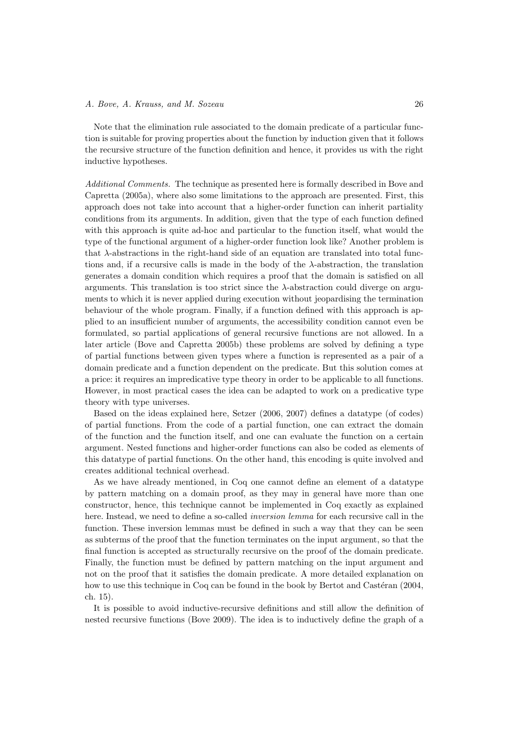Note that the elimination rule associated to the domain predicate of a particular function is suitable for proving properties about the function by induction given that it follows the recursive structure of the function definition and hence, it provides us with the right inductive hypotheses.

Additional Comments. The technique as presented here is formally described in Bove and Capretta (2005a), where also some limitations to the approach are presented. First, this approach does not take into account that a higher-order function can inherit partiality conditions from its arguments. In addition, given that the type of each function defined with this approach is quite ad-hoc and particular to the function itself, what would the type of the functional argument of a higher-order function look like? Another problem is that  $\lambda$ -abstractions in the right-hand side of an equation are translated into total functions and, if a recursive calls is made in the body of the  $\lambda$ -abstraction, the translation generates a domain condition which requires a proof that the domain is satisfied on all arguments. This translation is too strict since the  $\lambda$ -abstraction could diverge on arguments to which it is never applied during execution without jeopardising the termination behaviour of the whole program. Finally, if a function defined with this approach is applied to an insufficient number of arguments, the accessibility condition cannot even be formulated, so partial applications of general recursive functions are not allowed. In a later article (Bove and Capretta 2005b) these problems are solved by defining a type of partial functions between given types where a function is represented as a pair of a domain predicate and a function dependent on the predicate. But this solution comes at a price: it requires an impredicative type theory in order to be applicable to all functions. However, in most practical cases the idea can be adapted to work on a predicative type theory with type universes.

Based on the ideas explained here, Setzer (2006, 2007) defines a datatype (of codes) of partial functions. From the code of a partial function, one can extract the domain of the function and the function itself, and one can evaluate the function on a certain argument. Nested functions and higher-order functions can also be coded as elements of this datatype of partial functions. On the other hand, this encoding is quite involved and creates additional technical overhead.

As we have already mentioned, in Coq one cannot define an element of a datatype by pattern matching on a domain proof, as they may in general have more than one constructor, hence, this technique cannot be implemented in Coq exactly as explained here. Instead, we need to define a so-called *inversion lemma* for each recursive call in the function. These inversion lemmas must be defined in such a way that they can be seen as subterms of the proof that the function terminates on the input argument, so that the final function is accepted as structurally recursive on the proof of the domain predicate. Finally, the function must be defined by pattern matching on the input argument and not on the proof that it satisfies the domain predicate. A more detailed explanation on how to use this technique in Coq can be found in the book by Bertot and Castéran (2004, ch. 15).

It is possible to avoid inductive-recursive definitions and still allow the definition of nested recursive functions (Bove 2009). The idea is to inductively define the graph of a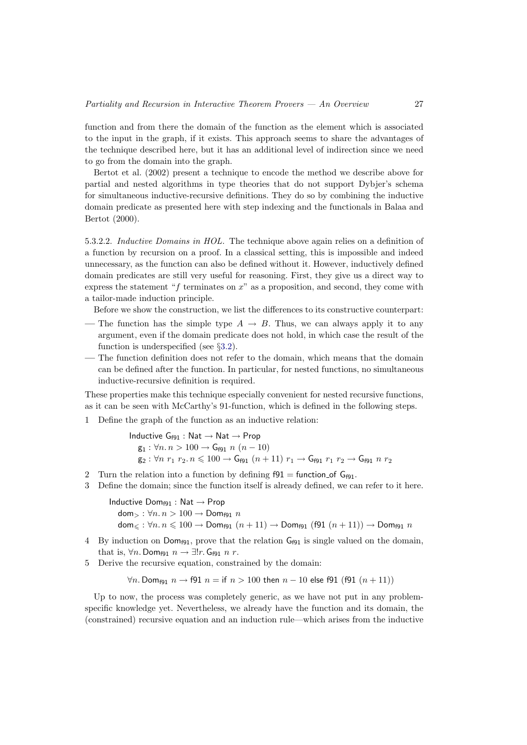function and from there the domain of the function as the element which is associated to the input in the graph, if it exists. This approach seems to share the advantages of the technique described here, but it has an additional level of indirection since we need to go from the domain into the graph.

Bertot et al. (2002) present a technique to encode the method we describe above for partial and nested algorithms in type theories that do not support Dybjer's schema for simultaneous inductive-recursive definitions. They do so by combining the inductive domain predicate as presented here with step indexing and the functionals in Balaa and Bertot (2000).

<span id="page-26-0"></span>5.3.2.2. Inductive Domains in HOL. The technique above again relies on a definition of a function by recursion on a proof. In a classical setting, this is impossible and indeed unnecessary, as the function can also be defined without it. However, inductively defined domain predicates are still very useful for reasoning. First, they give us a direct way to express the statement " $f$  terminates on  $x$ " as a proposition, and second, they come with a tailor-made induction principle.

Before we show the construction, we list the differences to its constructive counterpart:

- The function has the simple type  $A \rightarrow B$ . Thus, we can always apply it to any argument, even if the domain predicate does not hold, in which case the result of the function is underspecified (see §[3.2\)](#page-10-0).
- The function definition does not refer to the domain, which means that the domain can be defined after the function. In particular, for nested functions, no simultaneous inductive-recursive definition is required.

These properties make this technique especially convenient for nested recursive functions, as it can be seen with McCarthy's 91-function, which is defined in the following steps.

1 Define the graph of the function as an inductive relation:

Inductive 
$$
G_{f91}
$$
:  $Nat \rightarrow Nat \rightarrow Prop$   
\n $g_1 : \forall n. n > 100 \rightarrow G_{f91} n (n - 10)$   
\n $g_2 : \forall n r_1 r_2. n \leq 100 \rightarrow G_{f91} (n + 11) r_1 \rightarrow G_{f91} r_1 r_2 \rightarrow G_{f91} n r_2$ 

- 2 Turn the relation into a function by defining  $f91 =$  function of  $G_{f91}$ .
- 3 Define the domain; since the function itself is already defined, we can refer to it here.

Inductive  $Dom_{f91}$  : Nat  $\rightarrow$  Prop dom  $\frac{1}{2}$ :  $\forall n. n > 100 \rightarrow$  Dom<sub>f91</sub> n dom<sub> $\leq$ </sub> :  $\forall n. n \leq 100 \rightarrow$  Dom<sub>f91</sub>  $(n + 11) \rightarrow$  Dom<sub>f91</sub> (f91  $(n + 11)$ )  $\rightarrow$  Dom<sub>f91</sub> n

- 4 By induction on  $\text{Dom}_{691}$ , prove that the relation  $\text{G}_{691}$  is single valued on the domain, that is,  $\forall n$ . Dom<sub>f91</sub>  $n \rightarrow \exists ! r$ . G<sub>f91</sub>  $n \; r$ .
- 5 Derive the recursive equation, constrained by the domain:

 $\forall n.$  Dom<sub>f91</sub>  $n \to 91$   $n =$  if  $n > 100$  then  $n - 10$  else f91 (f91  $(n + 11)$ )

Up to now, the process was completely generic, as we have not put in any problemspecific knowledge yet. Nevertheless, we already have the function and its domain, the (constrained) recursive equation and an induction rule—which arises from the inductive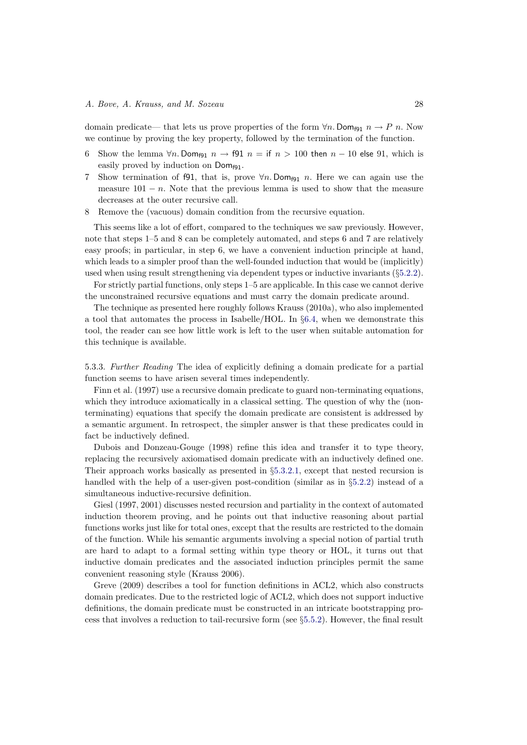domain predicate— that lets us prove properties of the form  $\forall n$ . Dom<sub>f91</sub>  $n \to P$  n. Now we continue by proving the key property, followed by the termination of the function.

- 6 Show the lemma  $\forall n.$  Dom<sub>f91</sub>  $n \rightarrow 191$   $n =$  if  $n > 100$  then  $n 10$  else 91, which is easily proved by induction on  $\mathsf{Dom}_{f91}$ .
- 7 Show termination of f91, that is, prove  $\forall n$ . Dom<sub>f91</sub> n. Here we can again use the measure  $101 - n$ . Note that the previous lemma is used to show that the measure decreases at the outer recursive call.
- 8 Remove the (vacuous) domain condition from the recursive equation.

This seems like a lot of effort, compared to the techniques we saw previously. However, note that steps 1–5 and 8 can be completely automated, and steps 6 and 7 are relatively easy proofs; in particular, in step 6, we have a convenient induction principle at hand, which leads to a simpler proof than the well-founded induction that would be (implicitly) used when using result strengthening via dependent types or inductive invariants (§[5.2.2\)](#page-22-0).

For strictly partial functions, only steps 1–5 are applicable. In this case we cannot derive the unconstrained recursive equations and must carry the domain predicate around.

The technique as presented here roughly follows Krauss (2010a), who also implemented a tool that automates the process in Isabelle/HOL. In  $\S 6.4$ , when we demonstrate this tool, the reader can see how little work is left to the user when suitable automation for this technique is available.

5.3.3. Further Reading The idea of explicitly defining a domain predicate for a partial function seems to have arisen several times independently.

Finn et al. (1997) use a recursive domain predicate to guard non-terminating equations, which they introduce axiomatically in a classical setting. The question of why the (nonterminating) equations that specify the domain predicate are consistent is addressed by a semantic argument. In retrospect, the simpler answer is that these predicates could in fact be inductively defined.

Dubois and Donzeau-Gouge (1998) refine this idea and transfer it to type theory, replacing the recursively axiomatised domain predicate with an inductively defined one. Their approach works basically as presented in §[5.3.2.1,](#page-23-0) except that nested recursion is handled with the help of a user-given post-condition (similar as in §[5.2.2\)](#page-22-0) instead of a simultaneous inductive-recursive definition.

Giesl (1997, 2001) discusses nested recursion and partiality in the context of automated induction theorem proving, and he points out that inductive reasoning about partial functions works just like for total ones, except that the results are restricted to the domain of the function. While his semantic arguments involving a special notion of partial truth are hard to adapt to a formal setting within type theory or HOL, it turns out that inductive domain predicates and the associated induction principles permit the same convenient reasoning style (Krauss 2006).

Greve (2009) describes a tool for function definitions in ACL2, which also constructs domain predicates. Due to the restricted logic of ACL2, which does not support inductive definitions, the domain predicate must be constructed in an intricate bootstrapping process that involves a reduction to tail-recursive form (see §[5.5.2\)](#page-33-0). However, the final result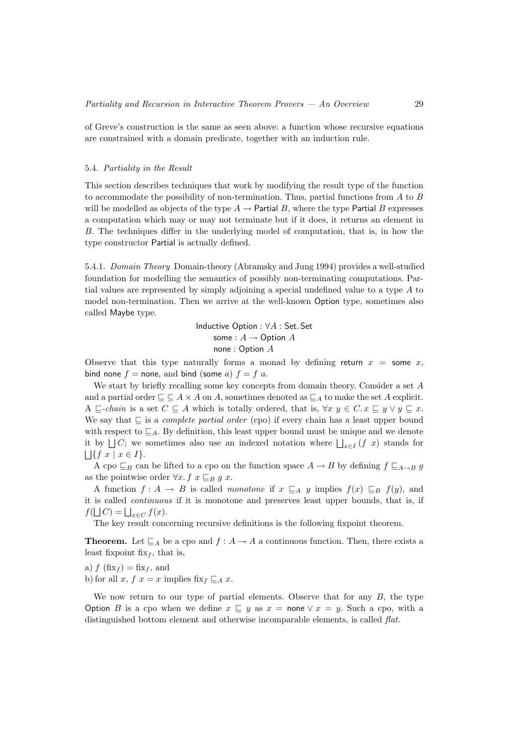of Greve's construction is the same as seen above: a function whose recursive equations are constrained with a domain predicate, together with an induction rule.

## 5.4. Partiality in the Result

This section describes techniques that work by modifying the result type of the function to accommodate the possibility of non-termination. Thus, partial functions from  $A$  to  $B$ will be modelled as objects of the type  $A \rightarrow$  Partial B, where the type Partial B expresses a computation which may or may not terminate but if it does, it returns an element in B. The techniques differ in the underlying model of computation, that is, in how the type constructor Partial is actually defined.

<span id="page-28-0"></span>5.4.1. Domain Theory Domain-theory (Abramsky and Jung 1994) provides a well-studied foundation for modelling the semantics of possibly non-terminating computations. Partial values are represented by simply adjoining a special undefined value to a type A to model non-termination. Then we arrive at the well-known Option type, sometimes also called Maybe type.

> Inductive Option : ∀A : Set. Set some :  $A \rightarrow$  Option A none : Option A

Observe that this type naturally forms a monad by defining return  $x =$  some x, bind none  $f =$  none, and bind (some a)  $f = f$  a.

We start by briefly recalling some key concepts from domain theory. Consider a set A and a partial order  $\subseteq \subseteq A \times A$  on A, sometimes denoted as  $\subseteq_A$  to make the set A explicit. A  $\sqsubseteq$ -chain is a set  $C \subseteq A$  which is totally ordered, that is,  $\forall x \ y \in C$ .  $x \sqsubseteq y \lor y \sqsubseteq x$ . We say that  $\subseteq$  is a *complete partial order* (cpo) if every chain has a least upper bound with respect to  $\mathbb{Z}_A$ . By definition, this least upper bound must be unique and we denote it by  $\bigcup C$ ; we sometimes also use an indexed notation where  $\bigcup_{x\in I}(f(x))$  stands for  $\Box\{f\ x\mid x\in I\}.$ 

A cpo  $\sqsubseteq_B$  can be lifted to a cpo on the function space  $A \to B$  by defining  $f \sqsubseteq_{A \to B} g$ as the pointwise order  $\forall x. f \ x \sqsubseteq_B g \ x$ .

A function  $f: A \to B$  is called monotone if  $x \subseteq_A y$  implies  $f(x) \subseteq_B f(y)$ , and it is called continuous if it is monotone and preserves least upper bounds, that is, if  $f(\bigsqcup C) = \bigsqcup_{x \in C} f(x).$ 

The key result concerning recursive definitions is the following fixpoint theorem.

**Theorem.** Let  $\sqsubseteq_A$  be a cpo and  $f : A \to A$  a continuous function. Then, there exists a least fixpoint fix $_f$ , that is,

a)  $f$  (fix $_f$ ) = fix $_f$ , and

b) for all x,  $f(x) = x$  implies fix $f(x) = A(x)$ .

We now return to our type of partial elements. Observe that for any  $B$ , the type Option B is a cpo when we define  $x \subseteq y$  as  $x =$  none  $\vee x = y$ . Such a cpo, with a distinguished bottom element and otherwise incomparable elements, is called *flat*.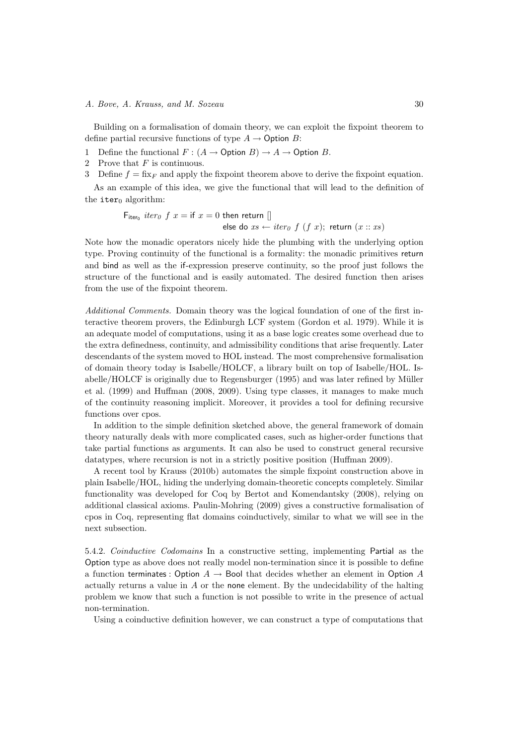Building on a formalisation of domain theory, we can exploit the fixpoint theorem to define partial recursive functions of type  $A \rightarrow$  Option B:

- 1 Define the functional  $F : (A \to \text{Option } B) \to A \to \text{Option } B$ .
- 2 Prove that F is continuous.
- 3 Define  $f = f(x_F)$  and apply the fixpoint theorem above to derive the fixpoint equation.

As an example of this idea, we give the functional that will lead to the definition of the iter<sub>0</sub> algorithm:

$$
\begin{array}{ll}\n\text{F}_{\text{iter}_0} \text{ iter}_0 \ f \ x = \text{if} \ x = 0 \ \text{then} \ \text{return} \ [] \\
\text{else do} \ x s \leftarrow \text{ iter}_0 \ f \ (f \ x); \ \text{return} \ (x :: xs)\n\end{array}
$$

Note how the monadic operators nicely hide the plumbing with the underlying option type. Proving continuity of the functional is a formality: the monadic primitives return and bind as well as the if-expression preserve continuity, so the proof just follows the structure of the functional and is easily automated. The desired function then arises from the use of the fixpoint theorem.

Additional Comments. Domain theory was the logical foundation of one of the first interactive theorem provers, the Edinburgh LCF system (Gordon et al. 1979). While it is an adequate model of computations, using it as a base logic creates some overhead due to the extra definedness, continuity, and admissibility conditions that arise frequently. Later descendants of the system moved to HOL instead. The most comprehensive formalisation of domain theory today is Isabelle/HOLCF, a library built on top of Isabelle/HOL. Isabelle/ $HOLCF$  is originally due to Regensburger (1995) and was later refined by Müller et al. (1999) and Huffman (2008, 2009). Using type classes, it manages to make much of the continuity reasoning implicit. Moreover, it provides a tool for defining recursive functions over cpos.

In addition to the simple definition sketched above, the general framework of domain theory naturally deals with more complicated cases, such as higher-order functions that take partial functions as arguments. It can also be used to construct general recursive datatypes, where recursion is not in a strictly positive position (Huffman 2009).

A recent tool by Krauss (2010b) automates the simple fixpoint construction above in plain Isabelle/HOL, hiding the underlying domain-theoretic concepts completely. Similar functionality was developed for Coq by Bertot and Komendantsky (2008), relying on additional classical axioms. Paulin-Mohring (2009) gives a constructive formalisation of cpos in Coq, representing flat domains coinductively, similar to what we will see in the next subsection.

5.4.2. Coinductive Codomains In a constructive setting, implementing Partial as the Option type as above does not really model non-termination since it is possible to define a function terminates : Option  $A \rightarrow$  Bool that decides whether an element in Option A actually returns a value in  $A$  or the none element. By the undecidability of the halting problem we know that such a function is not possible to write in the presence of actual non-termination.

Using a coinductive definition however, we can construct a type of computations that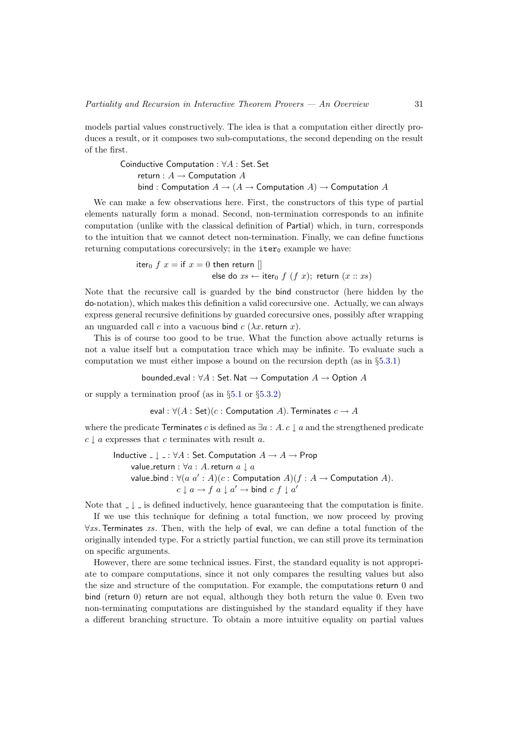models partial values constructively. The idea is that a computation either directly produces a result, or it composes two sub-computations, the second depending on the result of the first.

Coinductive Computation : 
$$
\forall A
$$
 : Set. Set

\nreturn :  $A \rightarrow \text{Computation } A$ 

\nbind : Computation  $A \rightarrow (A \rightarrow \text{Computation } A) \rightarrow \text{Computation } A$ 

We can make a few observations here. First, the constructors of this type of partial elements naturally form a monad. Second, non-termination corresponds to an infinite computation (unlike with the classical definition of Partial) which, in turn, corresponds to the intuition that we cannot detect non-termination. Finally, we can define functions returning computations corecursively; in the  $iter_0$  example we have:

> iter<sub>0</sub>  $f(x) =$  if  $x = 0$  then return  $\Box$ else do  $xs \leftarrow iter_0 f(f x);$  return  $(x :: xs)$

Note that the recursive call is guarded by the bind constructor (here hidden by the do-notation), which makes this definition a valid corecursive one. Actually, we can always express general recursive definitions by guarded corecursive ones, possibly after wrapping an unguarded call c into a vacuous bind  $c (\lambda x$ . return x).

This is of course too good to be true. What the function above actually returns is not a value itself but a computation trace which may be infinite. To evaluate such a computation we must either impose a bound on the recursion depth (as in §[5.3.1\)](#page-22-1)

bounded eval :  $\forall A :$  Set. Nat  $\rightarrow$  Computation  $A \rightarrow$  Option  $A$ 

or supply a termination proof (as in §[5.1](#page-17-0) or §[5.3.2\)](#page-23-1)

eval :  $\forall (A : Set)(c : Computation A)$ . Terminates  $c \rightarrow A$ 

where the predicate Terminates c is defined as  $\exists a : A.c \downarrow a$  and the strengthened predicate  $c \downarrow a$  expresses that c terminates with result a.

```
Inductive \bot \bot : \forall A : Set. Computation A \rightarrow A \rightarrow Prop
       value_return : \forall a : A. return a \downarrow avalue_bind : \forall (a \ a' : A)(c : Computation A)(f : A \rightarrow Computation A).
                            c \downarrow a \rightarrow f \ a \downarrow a' \rightarrow \text{bind } c \ f \downarrow a'
```
Note that  $\bot$  is defined inductively, hence guaranteeing that the computation is finite.

If we use this technique for defining a total function, we now proceed by proving  $\forall xs$ . Terminates xs. Then, with the help of eval, we can define a total function of the originally intended type. For a strictly partial function, we can still prove its termination on specific arguments.

However, there are some technical issues. First, the standard equality is not appropriate to compare computations, since it not only compares the resulting values but also the size and structure of the computation. For example, the computations return 0 and bind (return 0) return are not equal, although they both return the value 0. Even two non-terminating computations are distinguished by the standard equality if they have a different branching structure. To obtain a more intuitive equality on partial values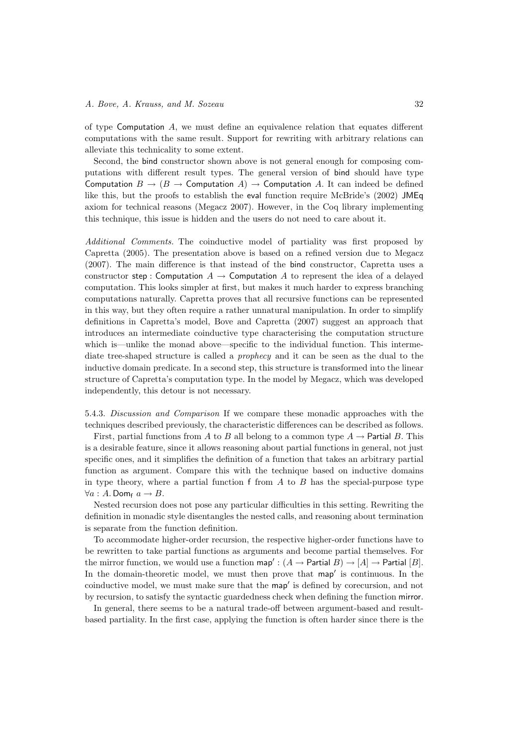of type Computation A, we must define an equivalence relation that equates different computations with the same result. Support for rewriting with arbitrary relations can alleviate this technicality to some extent.

Second, the bind constructor shown above is not general enough for composing computations with different result types. The general version of bind should have type Computation  $B \to (B \to \text{Computation } A) \to \text{Computation } A$ . It can indeed be defined like this, but the proofs to establish the eval function require McBride's (2002) JMEq axiom for technical reasons (Megacz 2007). However, in the Coq library implementing this technique, this issue is hidden and the users do not need to care about it.

Additional Comments. The coinductive model of partiality was first proposed by Capretta (2005). The presentation above is based on a refined version due to Megacz (2007). The main difference is that instead of the bind constructor, Capretta uses a constructor step : Computation  $A \rightarrow$  Computation A to represent the idea of a delayed computation. This looks simpler at first, but makes it much harder to express branching computations naturally. Capretta proves that all recursive functions can be represented in this way, but they often require a rather unnatural manipulation. In order to simplify definitions in Capretta's model, Bove and Capretta (2007) suggest an approach that introduces an intermediate coinductive type characterising the computation structure which is—unlike the monad above—specific to the individual function. This intermediate tree-shaped structure is called a prophecy and it can be seen as the dual to the inductive domain predicate. In a second step, this structure is transformed into the linear structure of Capretta's computation type. In the model by Megacz, which was developed independently, this detour is not necessary.

5.4.3. Discussion and Comparison If we compare these monadic approaches with the techniques described previously, the characteristic differences can be described as follows.

First, partial functions from A to B all belong to a common type  $A \rightarrow$  Partial B. This is a desirable feature, since it allows reasoning about partial functions in general, not just specific ones, and it simplifies the definition of a function that takes an arbitrary partial function as argument. Compare this with the technique based on inductive domains in type theory, where a partial function f from  $A$  to  $B$  has the special-purpose type  $\forall a : A$ . Dom<sub>f</sub>  $a \rightarrow B$ .

Nested recursion does not pose any particular difficulties in this setting. Rewriting the definition in monadic style disentangles the nested calls, and reasoning about termination is separate from the function definition.

To accommodate higher-order recursion, the respective higher-order functions have to be rewritten to take partial functions as arguments and become partial themselves. For the mirror function, we would use a function  $\textsf{map}' : (A \to \textsf{Partial } B) \to [A] \to \textsf{Partial } [B].$ In the domain-theoretic model, we must then prove that map' is continuous. In the coinductive model, we must make sure that the map' is defined by corecursion, and not by recursion, to satisfy the syntactic guardedness check when defining the function mirror.

In general, there seems to be a natural trade-off between argument-based and resultbased partiality. In the first case, applying the function is often harder since there is the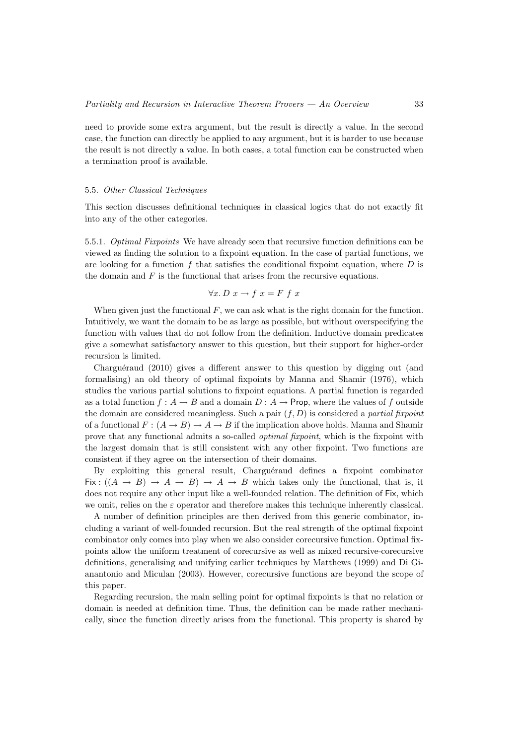need to provide some extra argument, but the result is directly a value. In the second case, the function can directly be applied to any argument, but it is harder to use because the result is not directly a value. In both cases, a total function can be constructed when a termination proof is available.

## 5.5. Other Classical Techniques

This section discusses definitional techniques in classical logics that do not exactly fit into any of the other categories.

5.5.1. Optimal Fixpoints We have already seen that recursive function definitions can be viewed as finding the solution to a fixpoint equation. In the case of partial functions, we are looking for a function f that satisfies the conditional fixpoint equation, where  $D$  is the domain and  $F$  is the functional that arises from the recursive equations.

$$
\forall x. D \ x \to f \ x = F \ f \ x
$$

When given just the functional  $F$ , we can ask what is the right domain for the function. Intuitively, we want the domain to be as large as possible, but without overspecifying the function with values that do not follow from the definition. Inductive domain predicates give a somewhat satisfactory answer to this question, but their support for higher-order recursion is limited.

Charguéraud  $(2010)$  gives a different answer to this question by digging out (and formalising) an old theory of optimal fixpoints by Manna and Shamir (1976), which studies the various partial solutions to fixpoint equations. A partial function is regarded as a total function  $f: A \to B$  and a domain  $D: A \to \text{Prop}$ , where the values of f outside the domain are considered meaningless. Such a pair  $(f, D)$  is considered a partial fixpoint of a functional  $F : (A \rightarrow B) \rightarrow A \rightarrow B$  if the implication above holds. Manna and Shamir prove that any functional admits a so-called optimal fixpoint, which is the fixpoint with the largest domain that is still consistent with any other fixpoint. Two functions are consistent if they agree on the intersection of their domains.

By exploiting this general result, Charguéraud defines a fixpoint combinator Fix :  $((A \rightarrow B) \rightarrow A \rightarrow B) \rightarrow A \rightarrow B$  which takes only the functional, that is, it does not require any other input like a well-founded relation. The definition of Fix, which we omit, relies on the  $\varepsilon$  operator and therefore makes this technique inherently classical.

A number of definition principles are then derived from this generic combinator, including a variant of well-founded recursion. But the real strength of the optimal fixpoint combinator only comes into play when we also consider corecursive function. Optimal fixpoints allow the uniform treatment of corecursive as well as mixed recursive-corecursive definitions, generalising and unifying earlier techniques by Matthews (1999) and Di Gianantonio and Miculan (2003). However, corecursive functions are beyond the scope of this paper.

Regarding recursion, the main selling point for optimal fixpoints is that no relation or domain is needed at definition time. Thus, the definition can be made rather mechanically, since the function directly arises from the functional. This property is shared by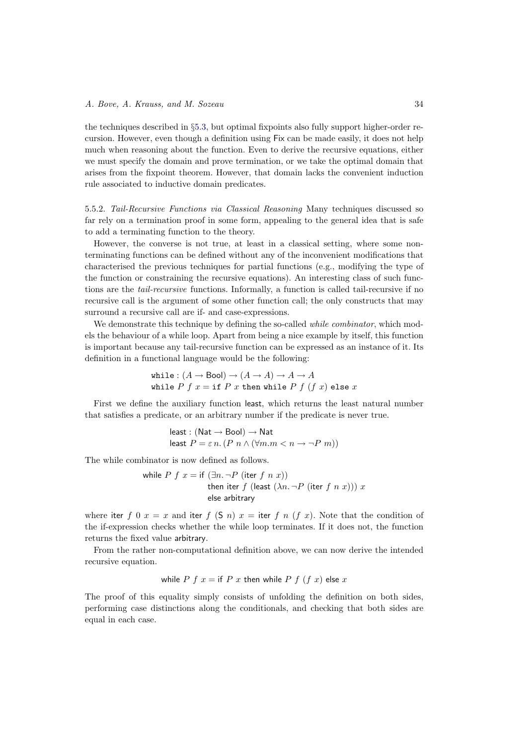the techniques described in §[5.3,](#page-22-2) but optimal fixpoints also fully support higher-order recursion. However, even though a definition using Fix can be made easily, it does not help much when reasoning about the function. Even to derive the recursive equations, either we must specify the domain and prove termination, or we take the optimal domain that arises from the fixpoint theorem. However, that domain lacks the convenient induction rule associated to inductive domain predicates.

<span id="page-33-0"></span>5.5.2. Tail-Recursive Functions via Classical Reasoning Many techniques discussed so far rely on a termination proof in some form, appealing to the general idea that is safe to add a terminating function to the theory.

However, the converse is not true, at least in a classical setting, where some nonterminating functions can be defined without any of the inconvenient modifications that characterised the previous techniques for partial functions (e.g., modifying the type of the function or constraining the recursive equations). An interesting class of such functions are the tail-recursive functions. Informally, a function is called tail-recursive if no recursive call is the argument of some other function call; the only constructs that may surround a recursive call are if- and case-expressions.

We demonstrate this technique by defining the so-called *while combinator*, which models the behaviour of a while loop. Apart from being a nice example by itself, this function is important because any tail-recursive function can be expressed as an instance of it. Its definition in a functional language would be the following:

$$
\begin{array}{l}\text{while : } (A \to \text{Bool}) \to (A \to A) \to A \to A\\ \text{while } P \text{ } f \text{ } x = \text{if } P \text{ } x \text{ then while } P \text{ } f \text{ } (f \text{ } x) \text{ else } x \end{array}
$$

First we define the auxiliary function least, which returns the least natural number that satisfies a predicate, or an arbitrary number if the predicate is never true.

$$
least: (Nat \rightarrow Bool) \rightarrow Nat
$$

$$
least P = \varepsilon n. (P \ n \land (\forall m.m < n \rightarrow \neg P \ m))
$$

The while combinator is now defined as follows.

while 
$$
P f x = \text{if } (\exists n \ldots \neg P \text{ (iter } f n x))
$$
  
then iter  $f \text{ (least } (\lambda n. \neg P \text{ (iter } f n x))) x$   
else arbitrary

where iter f 0  $x = x$  and iter f (S n)  $x =$  iter f n (f x). Note that the condition of the if-expression checks whether the while loop terminates. If it does not, the function returns the fixed value arbitrary.

From the rather non-computational definition above, we can now derive the intended recursive equation.

while 
$$
P f x =
$$
 if  $P x$  then while  $P f (f x)$  else  $x$ 

The proof of this equality simply consists of unfolding the definition on both sides, performing case distinctions along the conditionals, and checking that both sides are equal in each case.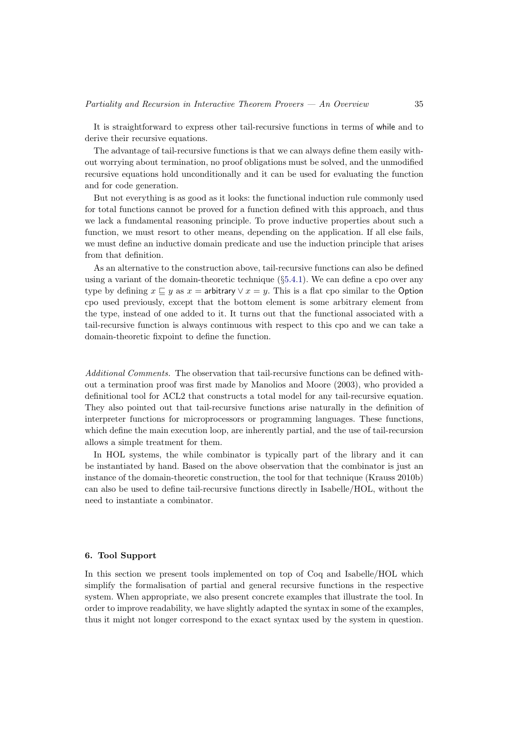It is straightforward to express other tail-recursive functions in terms of while and to derive their recursive equations.

The advantage of tail-recursive functions is that we can always define them easily without worrying about termination, no proof obligations must be solved, and the unmodified recursive equations hold unconditionally and it can be used for evaluating the function and for code generation.

But not everything is as good as it looks: the functional induction rule commonly used for total functions cannot be proved for a function defined with this approach, and thus we lack a fundamental reasoning principle. To prove inductive properties about such a function, we must resort to other means, depending on the application. If all else fails, we must define an inductive domain predicate and use the induction principle that arises from that definition.

As an alternative to the construction above, tail-recursive functions can also be defined using a variant of the domain-theoretic technique  $(\S 5.4.1)$  $(\S 5.4.1)$ . We can define a cpo over any type by defining  $x \sqsubseteq y$  as  $x =$  arbitrary  $\vee x = y$ . This is a flat cpo similar to the Option cpo used previously, except that the bottom element is some arbitrary element from the type, instead of one added to it. It turns out that the functional associated with a tail-recursive function is always continuous with respect to this cpo and we can take a domain-theoretic fixpoint to define the function.

Additional Comments. The observation that tail-recursive functions can be defined without a termination proof was first made by Manolios and Moore (2003), who provided a definitional tool for ACL2 that constructs a total model for any tail-recursive equation. They also pointed out that tail-recursive functions arise naturally in the definition of interpreter functions for microprocessors or programming languages. These functions, which define the main execution loop, are inherently partial, and the use of tail-recursion allows a simple treatment for them.

In HOL systems, the while combinator is typically part of the library and it can be instantiated by hand. Based on the above observation that the combinator is just an instance of the domain-theoretic construction, the tool for that technique (Krauss 2010b) can also be used to define tail-recursive functions directly in Isabelle/HOL, without the need to instantiate a combinator.

# <span id="page-34-0"></span>6. Tool Support

In this section we present tools implemented on top of Coq and Isabelle/HOL which simplify the formalisation of partial and general recursive functions in the respective system. When appropriate, we also present concrete examples that illustrate the tool. In order to improve readability, we have slightly adapted the syntax in some of the examples, thus it might not longer correspond to the exact syntax used by the system in question.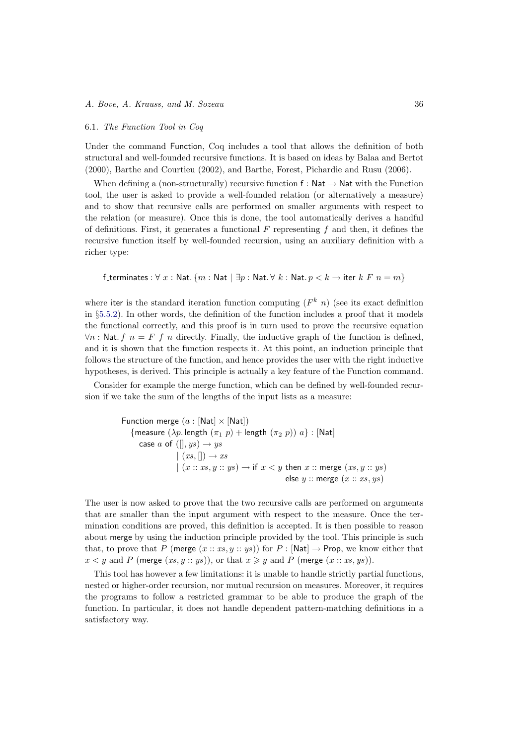## <span id="page-35-0"></span>6.1. The Function Tool in Coq

Under the command Function, Coq includes a tool that allows the definition of both structural and well-founded recursive functions. It is based on ideas by Balaa and Bertot (2000), Barthe and Courtieu (2002), and Barthe, Forest, Pichardie and Rusu (2006).

When defining a (non-structurally) recursive function  $f : Nat \rightarrow Nat$  with the Function tool, the user is asked to provide a well-founded relation (or alternatively a measure) and to show that recursive calls are performed on smaller arguments with respect to the relation (or measure). Once this is done, the tool automatically derives a handful of definitions. First, it generates a functional  $F$  representing  $f$  and then, it defines the recursive function itself by well-founded recursion, using an auxiliary definition with a richer type:

f\_terminates : 
$$
\forall x
$$
 : Nat. { $m$  : Nat |  $\exists p$  : Nat.  $\forall k$  : Nat.  $p < k \rightarrow$  iter k F  $n = m$ }

where iter is the standard iteration function computing  $(F^k n)$  (see its exact definition in §[5.5.2\)](#page-33-0). In other words, the definition of the function includes a proof that it models the functional correctly, and this proof is in turn used to prove the recursive equation  $\forall n$ : Nat. f  $n = F$  f n directly. Finally, the inductive graph of the function is defined, and it is shown that the function respects it. At this point, an induction principle that follows the structure of the function, and hence provides the user with the right inductive hypotheses, is derived. This principle is actually a key feature of the Function command.

Consider for example the merge function, which can be defined by well-founded recursion if we take the sum of the lengths of the input lists as a measure:

| Function merge $(a : [\text{Nat}] \times [\text{Nat}])$                                           | {measure $(\lambda p. \text{length } (\pi_1 p) + \text{length } (\pi_2 p)) a}$ : $[\text{Nat}]$ |
|---------------------------------------------------------------------------------------------------|-------------------------------------------------------------------------------------------------|
| case $a$ of $([], ys) \rightarrow ys$                                                             | $(xs, []) \rightarrow xs$                                                                       |
| $  (x : xs, y :: ys) \rightarrow \text{if } x < y \text{ then } x :: \text{merge } (xs, y :: ys)$ |                                                                                                 |
| else $y :: \text{merge } (x :: xs, ys)$                                                           | else $y :: \text{merge } (x :: xs, ys)$                                                         |

The user is now asked to prove that the two recursive calls are performed on arguments that are smaller than the input argument with respect to the measure. Once the termination conditions are proved, this definition is accepted. It is then possible to reason about merge by using the induction principle provided by the tool. This principle is such that, to prove that P (merge  $(x::xs, y::ys)$ ) for P : [Nat]  $\rightarrow$  Prop, we know either that  $x < y$  and P (merge  $(xs, y :: ys)$ ), or that  $x \geq y$  and P (merge  $(x :: xs, ys)$ ).

This tool has however a few limitations: it is unable to handle strictly partial functions, nested or higher-order recursion, nor mutual recursion on measures. Moreover, it requires the programs to follow a restricted grammar to be able to produce the graph of the function. In particular, it does not handle dependent pattern-matching definitions in a satisfactory way.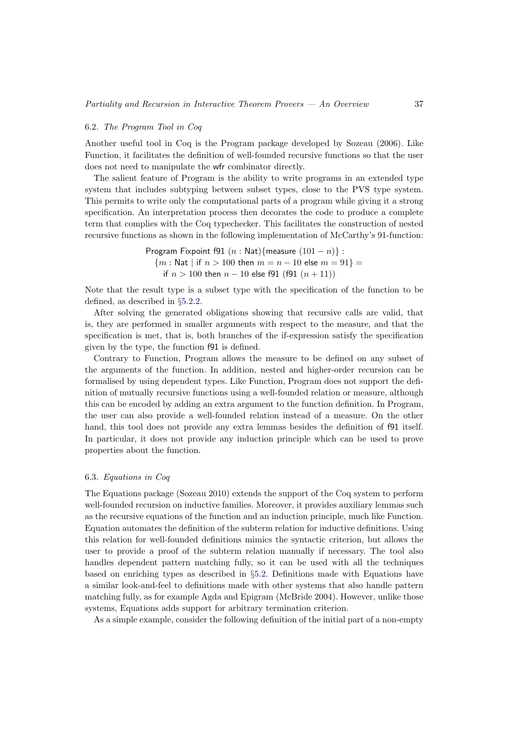#### <span id="page-36-0"></span>6.2. The Program Tool in Coq

Another useful tool in Coq is the Program package developed by Sozeau (2006). Like Function, it facilitates the definition of well-founded recursive functions so that the user does not need to manipulate the wfr combinator directly.

The salient feature of Program is the ability to write programs in an extended type system that includes subtyping between subset types, close to the PVS type system. This permits to write only the computational parts of a program while giving it a strong specification. An interpretation process then decorates the code to produce a complete term that complies with the Coq typechecker. This facilitates the construction of nested recursive functions as shown in the following implementation of McCarthy's 91-function:

Program Fixpoint f91 
$$
(n : Nat)
$$
{measure  $(101 - n)$  } :  $\{m : Nat | \text{ if } n > 100 \text{ then } m = n - 10 \text{ else } m = 91\} =$   
if  $n > 100$  then  $n - 10$  else f91 (f91  $(n + 11)$ )

Note that the result type is a subset type with the specification of the function to be defined, as described in §[5.2.2.](#page-22-0)

After solving the generated obligations showing that recursive calls are valid, that is, they are performed in smaller arguments with respect to the measure, and that the specification is met, that is, both branches of the if-expression satisfy the specification given by the type, the function f91 is defined.

Contrary to Function, Program allows the measure to be defined on any subset of the arguments of the function. In addition, nested and higher-order recursion can be formalised by using dependent types. Like Function, Program does not support the definition of mutually recursive functions using a well-founded relation or measure, although this can be encoded by adding an extra argument to the function definition. In Program, the user can also provide a well-founded relation instead of a measure. On the other hand, this tool does not provide any extra lemmas besides the definition of f91 itself. In particular, it does not provide any induction principle which can be used to prove properties about the function.

# 6.3. Equations in Coq

The Equations package (Sozeau 2010) extends the support of the Coq system to perform well-founded recursion on inductive families. Moreover, it provides auxiliary lemmas such as the recursive equations of the function and an induction principle, much like Function. Equation automates the definition of the subterm relation for inductive definitions. Using this relation for well-founded definitions mimics the syntactic criterion, but allows the user to provide a proof of the subterm relation manually if necessary. The tool also handles dependent pattern matching fully, so it can be used with all the techniques based on enriching types as described in §[5.2.](#page-21-1) Definitions made with Equations have a similar look-and-feel to definitions made with other systems that also handle pattern matching fully, as for example Agda and Epigram (McBride 2004). However, unlike those systems, Equations adds support for arbitrary termination criterion.

As a simple example, consider the following definition of the initial part of a non-empty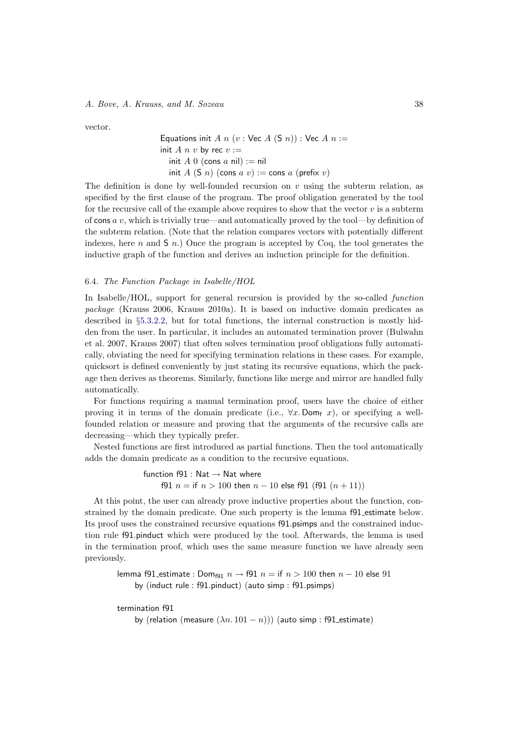vector.

Equations init A  $n (v : \text{Vec } A (S n)) : \text{Vec } A n :=$ init A  $n \, v$  by rec  $v :=$ init  $A \bigl( 0 \bmod a \bmod \bigr) := \textsf{nil}$ init A (S n) (cons  $a$  v) := cons  $a$  (prefix v)

The definition is done by well-founded recursion on  $v$  using the subterm relation, as specified by the first clause of the program. The proof obligation generated by the tool for the recursive call of the example above requires to show that the vector  $v$  is a subterm of cons  $a v$ , which is trivially true—and automatically proved by the tool—by definition of the subterm relation. (Note that the relation compares vectors with potentially different indexes, here n and  $S_n$ ). Once the program is accepted by Coq, the tool generates the inductive graph of the function and derives an induction principle for the definition.

## <span id="page-37-0"></span>6.4. The Function Package in Isabelle/HOL

In Isabelle/HOL, support for general recursion is provided by the so-called function package (Krauss 2006, Krauss 2010a). It is based on inductive domain predicates as described in §[5.3.2.2,](#page-26-0) but for total functions, the internal construction is mostly hidden from the user. In particular, it includes an automated termination prover (Bulwahn et al. 2007, Krauss 2007) that often solves termination proof obligations fully automatically, obviating the need for specifying termination relations in these cases. For example, quicksort is defined conveniently by just stating its recursive equations, which the package then derives as theorems. Similarly, functions like merge and mirror are handled fully automatically.

For functions requiring a manual termination proof, users have the choice of either proving it in terms of the domain predicate (i.e.,  $\forall x$ . Dom<sub>f</sub> x), or specifying a wellfounded relation or measure and proving that the arguments of the recursive calls are decreasing—which they typically prefer.

Nested functions are first introduced as partial functions. Then the tool automatically adds the domain predicate as a condition to the recursive equations.

function f91 : Nat 
$$
\rightarrow
$$
 Nat where  
f91  $n =$  if  $n > 100$  then  $n - 10$  else f91 (f91  $(n + 11)$ )

At this point, the user can already prove inductive properties about the function, constrained by the domain predicate. One such property is the lemma f91 estimate below. Its proof uses the constrained recursive equations f91.psimps and the constrained induction rule f91.pinduct which were produced by the tool. Afterwards, the lemma is used in the termination proof, which uses the same measure function we have already seen previously.

lemma f91 estimate : Dom<sub>f91</sub>  $n \rightarrow$  f91  $n =$  if  $n > 100$  then  $n - 10$  else 91 by (induct rule : f91.pinduct) (auto simp : f91.psimps)

termination f91

by (relation (measure  $(\lambda n. 101 - n))$ ) (auto simp : f91\_estimate)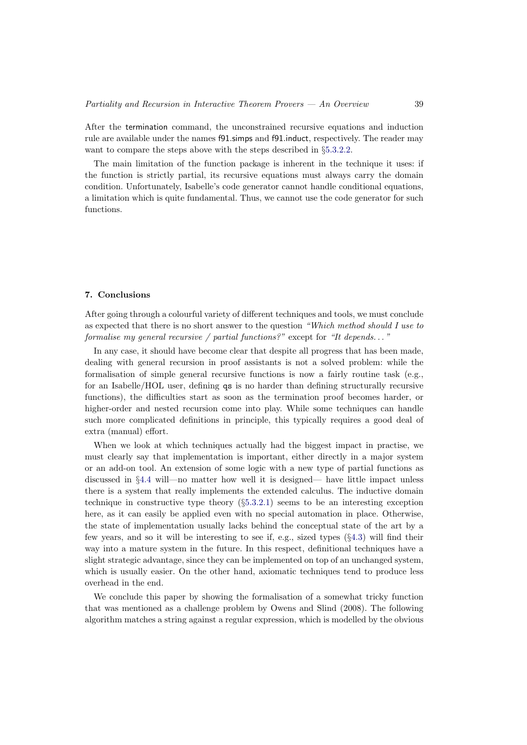After the termination command, the unconstrained recursive equations and induction rule are available under the names f91.simps and f91.induct, respectively. The reader may want to compare the steps above with the steps described in  $\S 5.3.2.2$ .

The main limitation of the function package is inherent in the technique it uses: if the function is strictly partial, its recursive equations must always carry the domain condition. Unfortunately, Isabelle's code generator cannot handle conditional equations, a limitation which is quite fundamental. Thus, we cannot use the code generator for such functions.

# <span id="page-38-0"></span>7. Conclusions

After going through a colourful variety of different techniques and tools, we must conclude as expected that there is no short answer to the question "Which method should I use to formalise my general recursive / partial functions?" except for "It depends..."

In any case, it should have become clear that despite all progress that has been made, dealing with general recursion in proof assistants is not a solved problem: while the formalisation of simple general recursive functions is now a fairly routine task (e.g., for an Isabelle/HOL user, defining qs is no harder than defining structurally recursive functions), the difficulties start as soon as the termination proof becomes harder, or higher-order and nested recursion come into play. While some techniques can handle such more complicated definitions in principle, this typically requires a good deal of extra (manual) effort.

When we look at which techniques actually had the biggest impact in practise, we must clearly say that implementation is important, either directly in a major system or an add-on tool. An extension of some logic with a new type of partial functions as discussed in §[4.4](#page-16-0) will—no matter how well it is designed— have little impact unless there is a system that really implements the extended calculus. The inductive domain technique in constructive type theory  $(\S 5.3.2.1)$  $(\S 5.3.2.1)$  seems to be an interesting exception here, as it can easily be applied even with no special automation in place. Otherwise, the state of implementation usually lacks behind the conceptual state of the art by a few years, and so it will be interesting to see if, e.g., sized types (§[4.3\)](#page-15-0) will find their way into a mature system in the future. In this respect, definitional techniques have a slight strategic advantage, since they can be implemented on top of an unchanged system, which is usually easier. On the other hand, axiomatic techniques tend to produce less overhead in the end.

We conclude this paper by showing the formalisation of a somewhat tricky function that was mentioned as a challenge problem by Owens and Slind (2008). The following algorithm matches a string against a regular expression, which is modelled by the obvious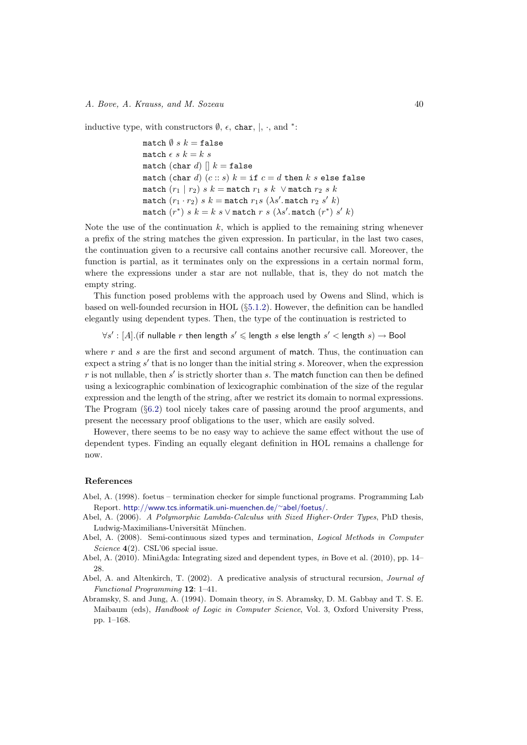inductive type, with constructors  $\emptyset$ ,  $\epsilon$ , char,  $|, \cdot$ , and  $*$ :

match  $\emptyset$  s  $k =$  false match  $\epsilon$  s  $k = k$  s match (char d)  $\parallel k = \texttt{false}$ match (char d)  $(c:: s)$   $k = if c = d$  then k s else false match  $(r_1 | r_2) s k =$  match  $r_1 s k \vee$  match  $r_2 s k$ match  $(r_1 \cdot r_2)$  s  $k =$  match  $r_1s$   $(\lambda s'.$  match  $r_2$   $s'$   $k)$ match  $(r^*)$  s  $k = k$  s  $\vee$  match  $r$  s  $(\lambda s'.$  match  $(r^*)$  s'  $k$ )

Note the use of the continuation  $k$ , which is applied to the remaining string whenever a prefix of the string matches the given expression. In particular, in the last two cases, the continuation given to a recursive call contains another recursive call. Moreover, the function is partial, as it terminates only on the expressions in a certain normal form, where the expressions under a star are not nullable, that is, they do not match the empty string.

This function posed problems with the approach used by Owens and Slind, which is based on well-founded recursion in HOL (§[5.1.2\)](#page-19-0). However, the definition can be handled elegantly using dependent types. Then, the type of the continuation is restricted to

∀s': [A].(if nullable  $r$  then length  $s' \leqslant$  length  $s$  else length  $s' <$  length  $s) \rightarrow \mathsf{Bool}$ 

where  $r$  and  $s$  are the first and second argument of match. Thus, the continuation can expect a string  $s'$  that is no longer than the initial string  $s$ . Moreover, when the expression  $r$  is not nullable, then  $s'$  is strictly shorter than  $s$ . The match function can then be defined using a lexicographic combination of lexicographic combination of the size of the regular expression and the length of the string, after we restrict its domain to normal expressions. The Program (§[6.2\)](#page-36-0) tool nicely takes care of passing around the proof arguments, and present the necessary proof obligations to the user, which are easily solved.

However, there seems to be no easy way to achieve the same effect without the use of dependent types. Finding an equally elegant definition in HOL remains a challenge for now.

#### References

- Abel, A. (1998). foetus termination checker for simple functional programs. Programming Lab Report. [http://www.tcs.informatik.uni-muenchen.de/](http://www.tcs.informatik.uni-muenchen.de/~abel/foetus/)<sup>∼</sup>abel/foetus/.
- Abel, A. (2006). A Polymorphic Lambda-Calculus with Sized Higher-Order Types, PhD thesis, Ludwig-Maximilians-Universität München.
- Abel, A. (2008). Semi-continuous sized types and termination, Logical Methods in Computer Science 4(2). CSL'06 special issue.
- Abel, A. (2010). MiniAgda: Integrating sized and dependent types, in Bove et al. (2010), pp. 14– 28.
- Abel, A. and Altenkirch, T. (2002). A predicative analysis of structural recursion, Journal of Functional Programming 12: 1–41.
- Abramsky, S. and Jung, A. (1994). Domain theory, in S. Abramsky, D. M. Gabbay and T. S. E. Maibaum (eds), Handbook of Logic in Computer Science, Vol. 3, Oxford University Press, pp. 1–168.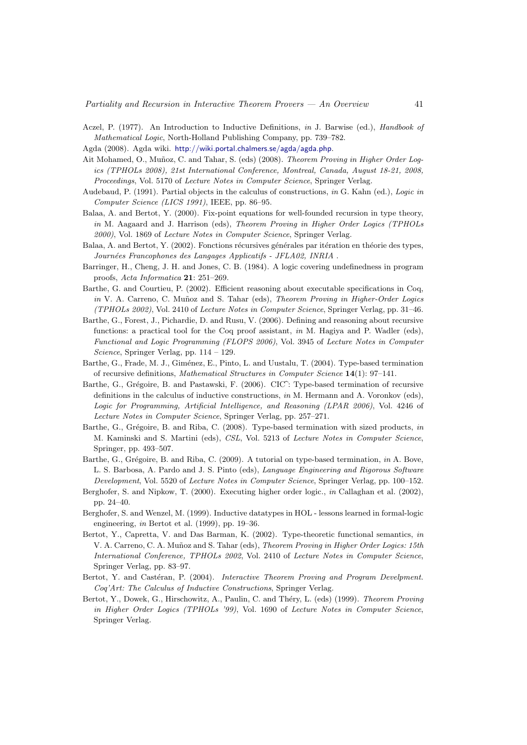- Aczel, P. (1977). An Introduction to Inductive Definitions, in J. Barwise (ed.), *Handbook of* Mathematical Logic, North-Holland Publishing Company, pp. 739–782.
- Agda (2008). Agda wiki. <http://wiki.portal.chalmers.se/agda/agda.php>.
- Ait Mohamed, O., Muñoz, C. and Tahar, S. (eds) (2008). Theorem Proving in Higher Order Logics (TPHOLs 2008), 21st International Conference, Montreal, Canada, August 18-21, 2008, Proceedings, Vol. 5170 of Lecture Notes in Computer Science, Springer Verlag.
- Audebaud, P. (1991). Partial objects in the calculus of constructions, in G. Kahn (ed.), Logic in Computer Science (LICS 1991), IEEE, pp. 86–95.
- Balaa, A. and Bertot, Y. (2000). Fix-point equations for well-founded recursion in type theory, in M. Aagaard and J. Harrison (eds), Theorem Proving in Higher Order Logics (TPHOLs 2000), Vol. 1869 of Lecture Notes in Computer Science, Springer Verlag.
- Balaa, A. and Bertot, Y. (2002). Fonctions récursives générales par itération en théorie des types, Journées Francophones des Langages Applicatifs - JFLA02, INRIA .
- Barringer, H., Cheng, J. H. and Jones, C. B. (1984). A logic covering undefinedness in program proofs, Acta Informatica 21: 251–269.
- Barthe, G. and Courtieu, P. (2002). Efficient reasoning about executable specifications in Coq, in V. A. Carreno, C. Muñoz and S. Tahar (eds), Theorem Proving in Higher-Order Logics (TPHOLs 2002), Vol. 2410 of Lecture Notes in Computer Science, Springer Verlag, pp. 31–46.
- Barthe, G., Forest, J., Pichardie, D. and Rusu, V. (2006). Defining and reasoning about recursive functions: a practical tool for the Coq proof assistant, in M. Hagiya and P. Wadler (eds), Functional and Logic Programming (FLOPS 2006), Vol. 3945 of Lecture Notes in Computer Science, Springer Verlag, pp. 114 – 129.
- Barthe, G., Frade, M. J., Giménez, E., Pinto, L. and Uustalu, T. (2004). Type-based termination of recursive definitions, Mathematical Structures in Computer Science 14(1): 97–141.
- Barthe, G., Grégoire, B. and Pastawski, F. (2006). CIC: Type-based termination of recursive definitions in the calculus of inductive constructions, in M. Hermann and A. Voronkov (eds), Logic for Programming, Artificial Intelligence, and Reasoning (LPAR 2006), Vol. 4246 of Lecture Notes in Computer Science, Springer Verlag, pp. 257–271.
- Barthe, G., Grégoire, B. and Riba, C. (2008). Type-based termination with sized products, in M. Kaminski and S. Martini (eds), CSL, Vol. 5213 of Lecture Notes in Computer Science, Springer, pp. 493–507.
- Barthe, G., Grégoire, B. and Riba, C. (2009). A tutorial on type-based termination, in A. Bove, L. S. Barbosa, A. Pardo and J. S. Pinto (eds), Language Engineering and Rigorous Software Development, Vol. 5520 of Lecture Notes in Computer Science, Springer Verlag, pp. 100–152.
- Berghofer, S. and Nipkow, T. (2000). Executing higher order logic., in Callaghan et al. (2002), pp. 24–40.
- Berghofer, S. and Wenzel, M. (1999). Inductive datatypes in HOL lessons learned in formal-logic engineering, in Bertot et al. (1999), pp. 19–36.
- Bertot, Y., Capretta, V. and Das Barman, K. (2002). Type-theoretic functional semantics, in V. A. Carreno, C. A. Muñoz and S. Tahar (eds), Theorem Proving in Higher Order Logics: 15th International Conference, TPHOLs 2002, Vol. 2410 of Lecture Notes in Computer Science, Springer Verlag, pp. 83–97.
- Bertot, Y. and Castéran, P. (2004). Interactive Theorem Proving and Program Develpment. Coq'Art: The Calculus of Inductive Constructions, Springer Verlag.
- Bertot, Y., Dowek, G., Hirschowitz, A., Paulin, C. and Théry, L. (eds) (1999). Theorem Proving in Higher Order Logics (TPHOLs '99), Vol. 1690 of Lecture Notes in Computer Science, Springer Verlag.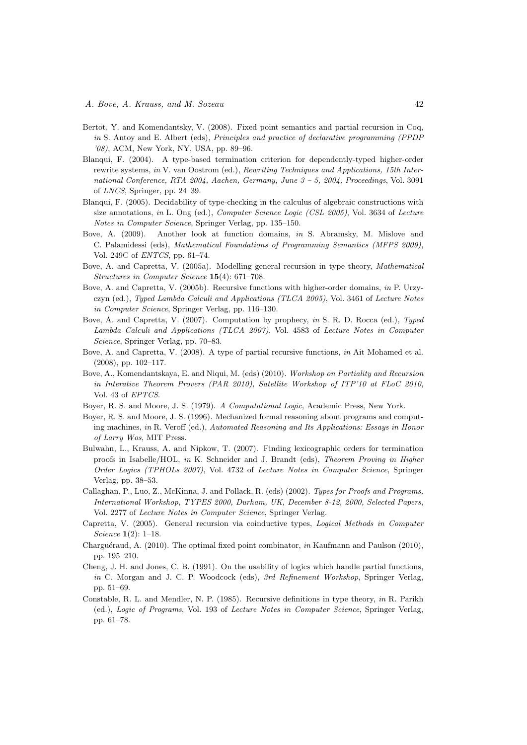- Bertot, Y. and Komendantsky, V. (2008). Fixed point semantics and partial recursion in Coq, in S. Antoy and E. Albert (eds), Principles and practice of declarative programming (PPDP '08), ACM, New York, NY, USA, pp. 89–96.
- Blanqui, F. (2004). A type-based termination criterion for dependently-typed higher-order rewrite systems, in V. van Oostrom (ed.), Rewriting Techniques and Applications, 15th International Conference, RTA  $2004$ , Aachen, Germany, June  $3 - 5$ ,  $2004$ , Proceedings, Vol. 3091 of LNCS, Springer, pp. 24–39.
- Blanqui, F. (2005). Decidability of type-checking in the calculus of algebraic constructions with size annotations, in L. Ong (ed.), Computer Science Logic (CSL 2005), Vol. 3634 of Lecture Notes in Computer Science, Springer Verlag, pp. 135–150.
- Bove, A. (2009). Another look at function domains, in S. Abramsky, M. Mislove and C. Palamidessi (eds), Mathematical Foundations of Programming Semantics (MFPS 2009), Vol. 249C of ENTCS, pp. 61–74.
- Bove, A. and Capretta, V. (2005a). Modelling general recursion in type theory, Mathematical Structures in Computer Science 15(4): 671–708.
- Bove, A. and Capretta, V. (2005b). Recursive functions with higher-order domains, in P. Urzyczyn (ed.), Typed Lambda Calculi and Applications (TLCA 2005), Vol. 3461 of Lecture Notes in Computer Science, Springer Verlag, pp. 116–130.
- Bove, A. and Capretta, V. (2007). Computation by prophecy, in S. R. D. Rocca (ed.), Typed Lambda Calculi and Applications (TLCA 2007), Vol. 4583 of Lecture Notes in Computer Science, Springer Verlag, pp. 70–83.
- Bove, A. and Capretta, V. (2008). A type of partial recursive functions, in Ait Mohamed et al. (2008), pp. 102–117.
- Bove, A., Komendantskaya, E. and Niqui, M. (eds) (2010). Workshop on Partiality and Recursion in Interative Theorem Provers (PAR 2010), Satellite Workshop of ITP'10 at FLoC 2010, Vol. 43 of EPTCS.
- Boyer, R. S. and Moore, J. S. (1979). A Computational Logic, Academic Press, New York.
- Boyer, R. S. and Moore, J. S. (1996). Mechanized formal reasoning about programs and computing machines, in R. Veroff (ed.), Automated Reasoning and Its Applications: Essays in Honor of Larry Wos, MIT Press.
- Bulwahn, L., Krauss, A. and Nipkow, T. (2007). Finding lexicographic orders for termination proofs in Isabelle/HOL, in K. Schneider and J. Brandt (eds), Theorem Proving in Higher Order Logics (TPHOLs 2007), Vol. 4732 of Lecture Notes in Computer Science, Springer Verlag, pp. 38–53.
- Callaghan, P., Luo, Z., McKinna, J. and Pollack, R. (eds) (2002). Types for Proofs and Programs, International Workshop, TYPES 2000, Durham, UK, December 8-12, 2000, Selected Papers, Vol. 2277 of Lecture Notes in Computer Science, Springer Verlag.
- Capretta, V. (2005). General recursion via coinductive types, Logical Methods in Computer Science 1(2): 1–18.
- Charguéraud, A. (2010). The optimal fixed point combinator, in Kaufmann and Paulson (2010), pp. 195–210.
- Cheng, J. H. and Jones, C. B. (1991). On the usability of logics which handle partial functions, in C. Morgan and J. C. P. Woodcock (eds), 3rd Refinement Workshop, Springer Verlag, pp. 51–69.
- Constable, R. L. and Mendler, N. P. (1985). Recursive definitions in type theory, in R. Parikh (ed.), Logic of Programs, Vol. 193 of Lecture Notes in Computer Science, Springer Verlag, pp. 61–78.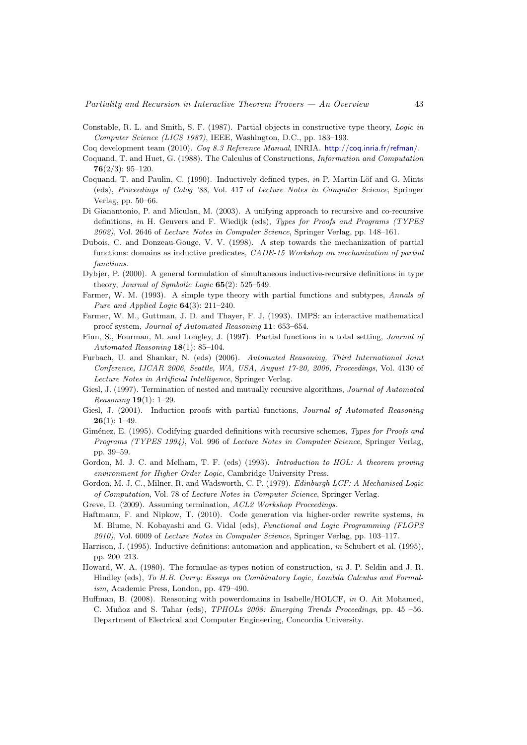- Constable, R. L. and Smith, S. F. (1987). Partial objects in constructive type theory, Logic in Computer Science (LICS 1987), IEEE, Washington, D.C., pp. 183–193.
- Coq development team (2010). Coq 8.3 Reference Manual, INRIA. <http://coq.inria.fr/refman/>.
- Coquand, T. and Huet, G. (1988). The Calculus of Constructions, Information and Computation 76(2/3): 95–120.
- Coquand, T. and Paulin, C. (1990). Inductively defined types, in P. Martin-Löf and G. Mints (eds), Proceedings of Colog '88, Vol. 417 of Lecture Notes in Computer Science, Springer Verlag, pp. 50–66.
- Di Gianantonio, P. and Miculan, M. (2003). A unifying approach to recursive and co-recursive definitions, in H. Geuvers and F. Wiedijk (eds), Types for Proofs and Programs (TYPES 2002), Vol. 2646 of Lecture Notes in Computer Science, Springer Verlag, pp. 148–161.
- Dubois, C. and Donzeau-Gouge, V. V. (1998). A step towards the mechanization of partial functions: domains as inductive predicates, CADE-15 Workshop on mechanization of partial functions.
- Dybjer, P. (2000). A general formulation of simultaneous inductive-recursive definitions in type theory, Journal of Symbolic Logic 65(2): 525–549.
- Farmer, W. M. (1993). A simple type theory with partial functions and subtypes, Annals of Pure and Applied Logic 64(3): 211–240.
- Farmer, W. M., Guttman, J. D. and Thayer, F. J. (1993). IMPS: an interactive mathematical proof system, Journal of Automated Reasoning 11: 653–654.
- Finn, S., Fourman, M. and Longley, J. (1997). Partial functions in a total setting, Journal of Automated Reasoning 18(1): 85–104.
- Furbach, U. and Shankar, N. (eds) (2006). Automated Reasoning, Third International Joint Conference, IJCAR 2006, Seattle, WA, USA, August 17-20, 2006, Proceedings, Vol. 4130 of Lecture Notes in Artificial Intelligence, Springer Verlag.
- Giesl, J. (1997). Termination of nested and mutually recursive algorithms, Journal of Automated Reasoning 19(1): 1–29.
- Giesl, J. (2001). Induction proofs with partial functions, Journal of Automated Reasoning  $26(1): 1-49.$
- Giménez, E. (1995). Codifying guarded definitions with recursive schemes, Types for Proofs and Programs (TYPES 1994), Vol. 996 of Lecture Notes in Computer Science, Springer Verlag, pp. 39–59.
- Gordon, M. J. C. and Melham, T. F. (eds) (1993). Introduction to HOL: A theorem proving environment for Higher Order Logic, Cambridge University Press.
- Gordon, M. J. C., Milner, R. and Wadsworth, C. P. (1979). Edinburgh LCF: A Mechanised Logic of Computation, Vol. 78 of Lecture Notes in Computer Science, Springer Verlag.
- Greve, D. (2009). Assuming termination, ACL2 Workshop Proceedings.
- Haftmann, F. and Nipkow, T. (2010). Code generation via higher-order rewrite systems, in M. Blume, N. Kobayashi and G. Vidal (eds), Functional and Logic Programming (FLOPS 2010), Vol. 6009 of Lecture Notes in Computer Science, Springer Verlag, pp. 103–117.
- Harrison, J. (1995). Inductive definitions: automation and application, in Schubert et al. (1995), pp. 200–213.
- Howard, W. A. (1980). The formulae-as-types notion of construction, in J. P. Seldin and J. R. Hindley (eds), To H.B. Curry: Essays on Combinatory Logic, Lambda Calculus and Formalism, Academic Press, London, pp. 479–490.
- Huffman, B. (2008). Reasoning with powerdomains in Isabelle/HOLCF, in O. Ait Mohamed, C. Muñoz and S. Tahar (eds), TPHOLs 2008: Emerging Trends Proceedings, pp. 45 -56. Department of Electrical and Computer Engineering, Concordia University.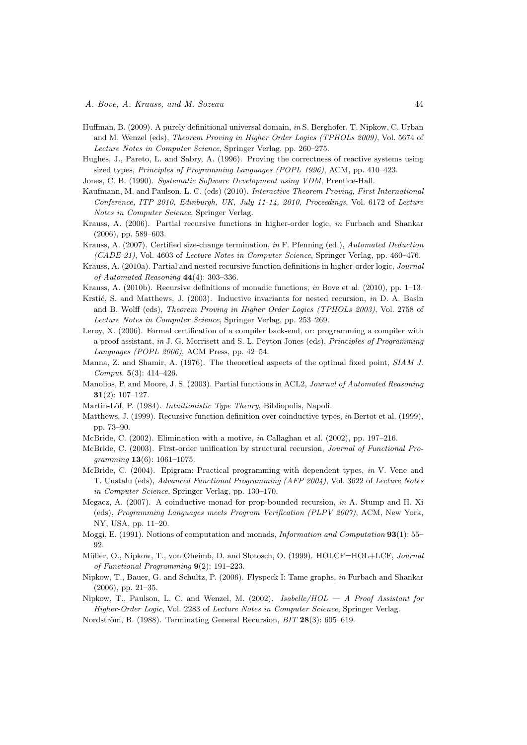- Huffman, B. (2009). A purely definitional universal domain, in S. Berghofer, T. Nipkow, C. Urban and M. Wenzel (eds), Theorem Proving in Higher Order Logics (TPHOLs 2009), Vol. 5674 of Lecture Notes in Computer Science, Springer Verlag, pp. 260–275.
- Hughes, J., Pareto, L. and Sabry, A. (1996). Proving the correctness of reactive systems using sized types, Principles of Programming Languages (POPL 1996), ACM, pp. 410–423.

Jones, C. B. (1990). Systematic Software Development using VDM, Prentice-Hall.

- Kaufmann, M. and Paulson, L. C. (eds) (2010). Interactive Theorem Proving, First International Conference, ITP 2010, Edinburgh, UK, July 11-14, 2010, Proceedings, Vol. 6172 of Lecture Notes in Computer Science, Springer Verlag.
- Krauss, A. (2006). Partial recursive functions in higher-order logic, in Furbach and Shankar (2006), pp. 589–603.
- Krauss, A. (2007). Certified size-change termination, in F. Pfenning (ed.), Automated Deduction (CADE-21), Vol. 4603 of Lecture Notes in Computer Science, Springer Verlag, pp. 460–476.
- Krauss, A. (2010a). Partial and nested recursive function definitions in higher-order logic, Journal of Automated Reasoning 44(4): 303–336.
- Krauss, A. (2010b). Recursive definitions of monadic functions, in Bove et al. (2010), pp. 1–13.
- Krstić, S. and Matthews, J. (2003). Inductive invariants for nested recursion, in D. A. Basin and B. Wolff (eds), Theorem Proving in Higher Order Logics (TPHOLs 2003), Vol. 2758 of Lecture Notes in Computer Science, Springer Verlag, pp. 253–269.
- Leroy, X. (2006). Formal certification of a compiler back-end, or: programming a compiler with a proof assistant, in J. G. Morrisett and S. L. Peyton Jones (eds), Principles of Programming Languages (POPL 2006), ACM Press, pp. 42–54.
- Manna, Z. and Shamir, A. (1976). The theoretical aspects of the optimal fixed point, SIAM J. Comput. 5(3): 414–426.
- Manolios, P. and Moore, J. S. (2003). Partial functions in ACL2, Journal of Automated Reasoning 31(2): 107–127.
- Martin-Löf, P. (1984). *Intuitionistic Type Theory*, Bibliopolis, Napoli.
- Matthews, J. (1999). Recursive function definition over coinductive types, in Bertot et al. (1999), pp. 73–90.
- McBride, C. (2002). Elimination with a motive, in Callaghan et al. (2002), pp. 197–216.
- McBride, C. (2003). First-order unification by structural recursion, Journal of Functional Pro $gramming \; 13(6): \; 1061-1075.$
- McBride, C. (2004). Epigram: Practical programming with dependent types, in V. Vene and T. Uustalu (eds), Advanced Functional Programming (AFP 2004), Vol. 3622 of Lecture Notes in Computer Science, Springer Verlag, pp. 130–170.
- Megacz, A. (2007). A coinductive monad for prop-bounded recursion, in A. Stump and H. Xi (eds), Programming Languages meets Program Verification (PLPV 2007), ACM, New York, NY, USA, pp. 11–20.
- Moggi, E. (1991). Notions of computation and monads, Information and Computation 93(1): 55– 92.
- Müller, O., Nipkow, T., von Oheimb, D. and Slotosch, O. (1999). HOLCF=HOL+LCF, Journal of Functional Programming 9(2): 191–223.
- Nipkow, T., Bauer, G. and Schultz, P. (2006). Flyspeck I: Tame graphs, in Furbach and Shankar (2006), pp. 21–35.

Nipkow, T., Paulson, L. C. and Wenzel, M. (2002). Isabelle/ $HOL - A$  Proof Assistant for Higher-Order Logic, Vol. 2283 of Lecture Notes in Computer Science, Springer Verlag.

Nordström, B. (1988). Terminating General Recursion, BIT 28(3): 605–619.